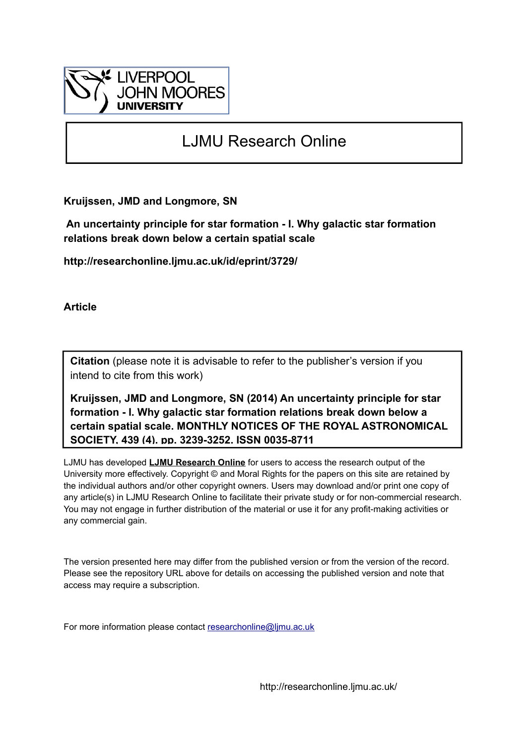

# LJMU Research Online

**Kruijssen, JMD and Longmore, SN**

 **An uncertainty principle for star formation - I. Why galactic star formation relations break down below a certain spatial scale**

**http://researchonline.ljmu.ac.uk/id/eprint/3729/**

**Article**

**Citation** (please note it is advisable to refer to the publisher's version if you intend to cite from this work)

**Kruijssen, JMD and Longmore, SN (2014) An uncertainty principle for star formation - I. Why galactic star formation relations break down below a certain spatial scale. MONTHLY NOTICES OF THE ROYAL ASTRONOMICAL SOCIETY, 439 (4). pp. 3239-3252. ISSN 0035-8711** 

LJMU has developed **[LJMU Research Online](http://researchonline.ljmu.ac.uk/)** for users to access the research output of the University more effectively. Copyright © and Moral Rights for the papers on this site are retained by the individual authors and/or other copyright owners. Users may download and/or print one copy of any article(s) in LJMU Research Online to facilitate their private study or for non-commercial research. You may not engage in further distribution of the material or use it for any profit-making activities or any commercial gain.

The version presented here may differ from the published version or from the version of the record. Please see the repository URL above for details on accessing the published version and note that access may require a subscription.

For more information please contact [researchonline@ljmu.ac.uk](mailto:researchonline@ljmu.ac.uk)

http://researchonline.ljmu.ac.uk/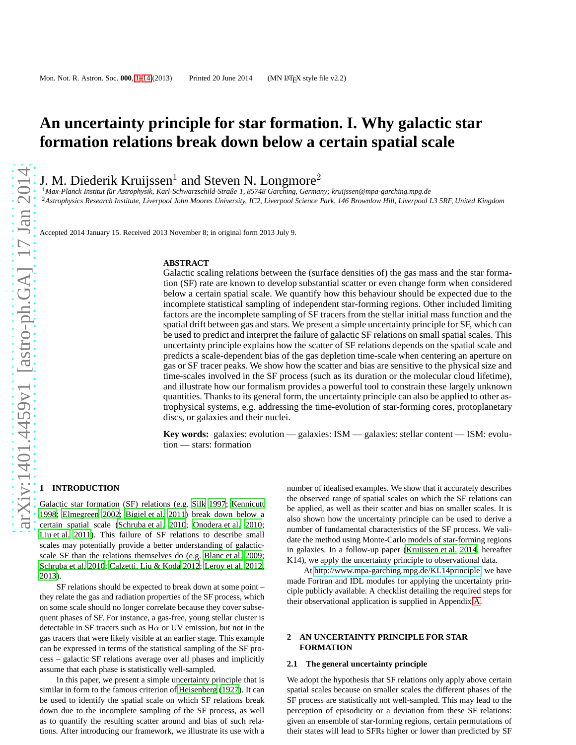## **An uncertainty principle for star formation. I. Why galactic star formation relations break down below a certain spatial scale**

J. M. Diederik Kruijssen<sup>1</sup> and Steven N. Longmore<sup>2</sup>

<sup>1</sup>Max-Planck Institut für Astrophysik, Karl-Schwarzschild-Straße 1, 85748 Garching, Germany; kruijssen@mpa-garching.mpg.de <sup>2</sup>*Astrophysics Research Institute, Liverpool John Moores University, IC2, Liverpool Science Park, 146 Brownlow Hill, Liverpool L3 5RF, United Kingdom*

Accepted 2014 January 15. Received 2013 November 8; in original form 2013 July 9.

#### **ABSTRACT**

Galactic scaling relations between the (surface densities of) the gas mass and the star formation (SF) rate are known to develop substantial scatter or even change form when considered below a certain spatial scale. We quantify how this behaviour should be expected due to the incomplete statistical sampling of independent star-forming regions. Other included limiting factors are the incomplete sampling of SF tracers from the stellar initial mass function and the spatial drift between gas and stars. We present a simple uncertainty principle for SF, which can be used to predict and interpret the failure of galactic SF relations on small spatial scales. This uncertainty principle explains how the scatter of SF relations depends on the spatial scale and predicts a scale-dependent bias of the gas depletion time-scale when centering an aperture on gas or SF tracer peaks. We show how the scatter and bias are sensitive to the physical size and time-scales involved in the SF process (such as its duration or the molecular cloud lifetime), and illustrate how our formalism provides a powerful tool to constrain these largely unknown quantities. Thanks to its general form, the uncertainty principle can also be applied to other astrophysical systems, e.g. addressing the time-evolution of star-forming cores, protoplanetary discs, or galaxies and their nuclei.

**Key words:** galaxies: evolution — galaxies: ISM — galaxies: stellar content — ISM: evolution — stars: formation

## <span id="page-1-0"></span>**1 INTRODUCTION**

Galactic star formation (SF) relations (e.g. [Silk 1997](#page-10-0); [Kennicutt](#page-10-1) [1998;](#page-10-1) [Elmegreen 2002](#page-10-2); [Bigiel et al. 2011](#page-10-3)) break down below a certain spatial scale [\(Schruba et al. 2010;](#page-10-4) [Onodera et al. 2010;](#page-10-5) [Liu et al. 2011](#page-10-6)). This failure of SF relations to describe small scales may potentially provide a better understanding of galacticscale SF than the relations themselves do (e.g. [Blanc et al. 2009;](#page-10-7) [Schruba et al. 2010](#page-10-4); [Calzetti, Liu & Koda 2012](#page-10-8); [Leroy et al. 2012,](#page-10-9) [2013\)](#page-10-10).

SF relations should be expected to break down at some point – they relate the gas and radiation properties of the SF process, which on some scale should no longer correlate because they cover subsequent phases of SF. For instance, a gas-free, young stellar cluster is detectable in SF tracers such as  $H\alpha$  or UV emission, but not in the gas tracers that were likely visible at an earlier stage. This example can be expressed in terms of the statistical sampling of the SF process – galactic SF relations average over all phases and implicitly assume that each phase is statistically well-sampled.

In this paper, we present a simple uncertainty principle that is similar in form to the famous criterion of [Heisenberg \(1927\)](#page-10-11). It can be used to identify the spatial scale on which SF relations break down due to the incomplete sampling of the SF process, as well as to quantify the resulting scatter around and bias of such relations. After introducing our framework, we illustrate its use with a

number of idealised examples. We show that it accurately describes the observed range of spatial scales on which the SF relations can be applied, as well as their scatter and bias on smaller scales. It is also shown how the uncertainty principle can be used to derive a number of fundamental characteristics of the SF process. We validate the method using Monte-Carlo models of star-forming regions in galaxies. In a follow-up paper [\(Kruijssen et al. 2014,](#page-10-12) hereafter K14), we apply the uncertainty principle to observational data.

At [http://www.mpa-garching.mpg.de/KL14principle,](http://www.mpa-garching.mpg.de/KL14principle) we have made Fortran and IDL modules for applying the uncertainty principle publicly available. A checklist detailing the required steps for their observational application is supplied in Appendix [A.](#page-11-0)

## **2 AN UNCERTAINTY PRINCIPLE FOR STAR FORMATION**

#### <span id="page-1-1"></span>**2.1 The general uncertainty principle**

We adopt the hypothesis that SF relations only apply above certain spatial scales because on smaller scales the different phases of the SF process are statistically not well-sampled. This may lead to the perception of episodicity or a deviation from these SF relations: given an ensemble of star-forming regions, certain permutations of their states will lead to SFRs higher or lower than predicted by SF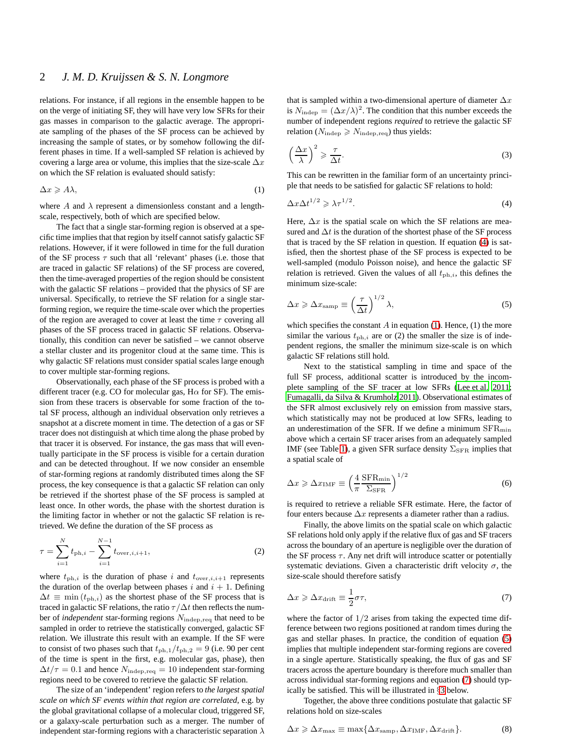relations. For instance, if all regions in the ensemble happen to be on the verge of initiating SF, they will have very low SFRs for their gas masses in comparison to the galactic average. The appropriate sampling of the phases of the SF process can be achieved by increasing the sample of states, or by somehow following the different phases in time. If a well-sampled SF relation is achieved by covering a large area or volume, this implies that the size-scale  $\Delta x$ on which the SF relation is evaluated should satisfy:

<span id="page-2-1"></span>
$$
\Delta x \geqslant A\lambda,\tag{1}
$$

where A and  $\lambda$  represent a dimensionless constant and a lengthscale, respectively, both of which are specified below.

The fact that a single star-forming region is observed at a specific time implies that that region by itself cannot satisfy galactic SF relations. However, if it were followed in time for the full duration of the SF process  $\tau$  such that all 'relevant' phases (i.e. those that are traced in galactic SF relations) of the SF process are covered, then the time-averaged properties of the region should be consistent with the galactic SF relations – provided that the physics of SF are universal. Specifically, to retrieve the SF relation for a single starforming region, we require the time-scale over which the properties of the region are averaged to cover at least the time  $\tau$  covering all phases of the SF process traced in galactic SF relations. Observationally, this condition can never be satisfied – we cannot observe a stellar cluster and its progenitor cloud at the same time. This is why galactic SF relations must consider spatial scales large enough to cover multiple star-forming regions.

Observationally, each phase of the SF process is probed with a different tracer (e.g. CO for molecular gas,  $H\alpha$  for SF). The emission from these tracers is observable for some fraction of the total SF process, although an individual observation only retrieves a snapshot at a discrete moment in time. The detection of a gas or SF tracer does not distinguish at which time along the phase probed by that tracer it is observed. For instance, the gas mass that will eventually participate in the SF process is visible for a certain duration and can be detected throughout. If we now consider an ensemble of star-forming regions at randomly distributed times along the SF process, the key consequence is that a galactic SF relation can only be retrieved if the shortest phase of the SF process is sampled at least once. In other words, the phase with the shortest duration is the limiting factor in whether or not the galactic SF relation is retrieved. We define the duration of the SF process as

$$
\tau = \sum_{i=1}^{N} t_{\text{ph},i} - \sum_{i=1}^{N-1} t_{\text{over},i,i+1},\tag{2}
$$

where  $t_{ph,i}$  is the duration of phase i and  $t_{over,i,i+1}$  represents the duration of the overlap between phases i and  $i + 1$ . Defining  $\Delta t \equiv \min(t_{\text{ph},i})$  as the shortest phase of the SF process that is traced in galactic SF relations, the ratio  $\tau/\Delta t$  then reflects the number of *independent* star-forming regions Nindep,req that need to be sampled in order to retrieve the statistically converged, galactic SF relation. We illustrate this result with an example. If the SF were to consist of two phases such that  $t_{ph,1}/t_{ph,2} = 9$  (i.e. 90 per cent of the time is spent in the first, e.g. molecular gas, phase), then  $\Delta t/\tau = 0.1$  and hence  $N_{\text{indep,req}} = 10$  independent star-forming regions need to be covered to retrieve the galactic SF relation.

The size of an 'independent' region refers to *the largest spatial scale on which SF events within that region are correlated*, e.g. by the global gravitational collapse of a molecular cloud, triggered SF, or a galaxy-scale perturbation such as a merger. The number of independent star-forming regions with a characteristic separation  $\lambda$ 

that is sampled within a two-dimensional aperture of diameter  $\Delta x$ is  $N_{\text{indep}} = (\Delta x/\lambda)^2$ . The condition that this number exceeds the number of independent regions *required* to retrieve the galactic SF relation ( $N_{\text{indep}} \geq N_{\text{indep,req}}$ ) thus yields:

$$
\left(\frac{\Delta x}{\lambda}\right)^2 \geqslant \frac{\tau}{\Delta t}.\tag{3}
$$

This can be rewritten in the familiar form of an uncertainty principle that needs to be satisfied for galactic SF relations to hold:

<span id="page-2-0"></span>
$$
\Delta x \Delta t^{1/2} \geqslant \lambda \tau^{1/2}.\tag{4}
$$

Here,  $\Delta x$  is the spatial scale on which the SF relations are measured and  $\Delta t$  is the duration of the shortest phase of the SF process that is traced by the SF relation in question. If equation [\(4\)](#page-2-0) is satisfied, then the shortest phase of the SF process is expected to be well-sampled (modulo Poisson noise), and hence the galactic SF relation is retrieved. Given the values of all  $t_{ph,i}$ , this defines the minimum size-scale:

<span id="page-2-2"></span>
$$
\Delta x \geqslant \Delta x_{\text{samp}} \equiv \left(\frac{\tau}{\Delta t}\right)^{1/2} \lambda,\tag{5}
$$

which specifies the constant  $A$  in equation [\(1\)](#page-2-1). Hence, (1) the more similar the various  $t_{ph,i}$  are or (2) the smaller the size is of independent regions, the smaller the minimum size-scale is on which galactic SF relations still hold.

Next to the statistical sampling in time and space of the full SF process, additional scatter is introduced by the incomplete sampling of the SF tracer at low SFRs [\(Lee et al. 2011;](#page-10-13) [Fumagalli, da Silva & Krumholz 2011](#page-10-14)). Observational estimates of the SFR almost exclusively rely on emission from massive stars, which statistically may not be produced at low SFRs, leading to an underestimation of the SFR. If we define a minimum  $SFR_{\text{min}}$ above which a certain SF tracer arises from an adequately sampled IMF (see Table [1\)](#page-3-0), a given SFR surface density  $\Sigma_{\rm SFR}$  implies that a spatial scale of

<span id="page-2-5"></span>
$$
\Delta x \geqslant \Delta x_{\text{IMF}} \equiv \left(\frac{4}{\pi} \frac{\text{SFR}_{\text{min}}}{\Sigma_{\text{SFR}}}\right)^{1/2} \tag{6}
$$

is required to retrieve a reliable SFR estimate. Here, the factor of four enters because  $\Delta x$  represents a diameter rather than a radius.

Finally, the above limits on the spatial scale on which galactic SF relations hold only apply if the relative flux of gas and SF tracers across the boundary of an aperture is negligible over the duration of the SF process  $\tau$ . Any net drift will introduce scatter or potentially systematic deviations. Given a characteristic drift velocity  $\sigma$ , the size-scale should therefore satisfy

<span id="page-2-3"></span>
$$
\Delta x \geqslant \Delta x_{\text{drift}} \equiv \frac{1}{2}\sigma \tau,\tag{7}
$$

where the factor of  $1/2$  arises from taking the expected time difference between two regions positioned at random times during the gas and stellar phases. In practice, the condition of equation [\(5\)](#page-2-2) implies that multiple independent star-forming regions are covered in a single aperture. Statistically speaking, the flux of gas and SF tracers across the aperture boundary is therefore much smaller than across individual star-forming regions and equation [\(7\)](#page-2-3) should typically be satisfied. This will be illustrated in §[3](#page-4-0) below.

Together, the above three conditions postulate that galactic SF relations hold on size-scales

<span id="page-2-4"></span>
$$
\Delta x \ge \Delta x_{\text{max}} \equiv \max\{\Delta x_{\text{amp}}, \Delta x_{\text{IMF}}, \Delta x_{\text{drift}}\}.
$$
 (8)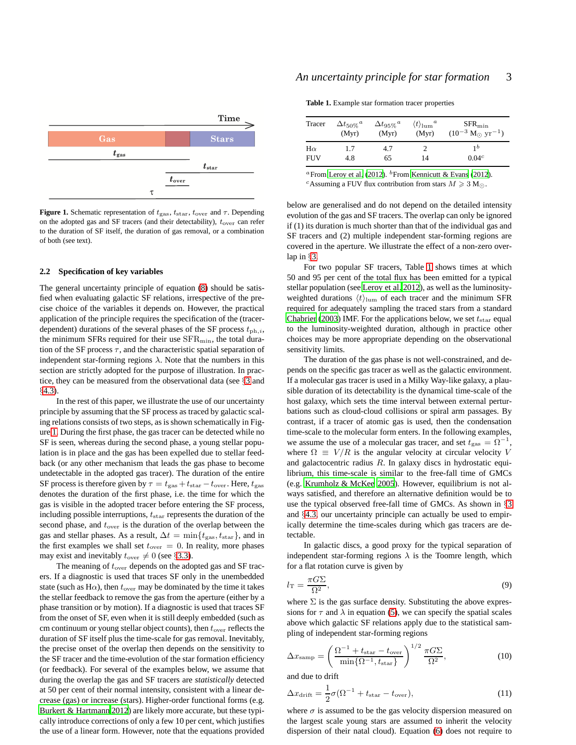

<span id="page-3-1"></span>**Figure 1.** Schematic representation of  $t_{\text{gas}}$ ,  $t_{\text{star}}$ ,  $t_{\text{over}}$  and  $\tau$ . Depending on the adopted gas and SF tracers (and their detectability), tover can refer to the duration of SF itself, the duration of gas removal, or a combination of both (see text).

#### <span id="page-3-3"></span>**2.2 Specification of key variables**

The general uncertainty principle of equation [\(8\)](#page-2-4) should be satisfied when evaluating galactic SF relations, irrespective of the precise choice of the variables it depends on. However, the practical application of the principle requires the specification of the (tracerdependent) durations of the several phases of the SF process  $t_{ph,i}$ , the minimum SFRs required for their use  $SFR_{\text{min}}$ , the total duration of the SF process  $\tau$ , and the characteristic spatial separation of independent star-forming regions  $\lambda$ . Note that the numbers in this section are strictly adopted for the purpose of illustration. In practice, they can be measured from the observational data (see §[3](#page-4-0) and §[4.3\)](#page-9-0).

In the rest of this paper, we illustrate the use of our uncertainty principle by assuming that the SF process as traced by galactic scaling relations consists of two steps, as is shown schematically in Figure [1.](#page-3-1) During the first phase, the gas tracer can be detected while no SF is seen, whereas during the second phase, a young stellar population is in place and the gas has been expelled due to stellar feedback (or any other mechanism that leads the gas phase to become undetectable in the adopted gas tracer). The duration of the entire SF process is therefore given by  $\tau = t_{\text{gas}} + t_{\text{star}} - t_{\text{over}}$ . Here,  $t_{\text{gas}}$ denotes the duration of the first phase, i.e. the time for which the gas is visible in the adopted tracer before entering the SF process, including possible interruptions,  $t_{\text{star}}$  represents the duration of the second phase, and  $t_{\text{over}}$  is the duration of the overlap between the gas and stellar phases. As a result,  $\Delta t = \min\{t_{\text{gas}}, t_{\text{star}}\}$ , and in the first examples we shall set  $t_{\text{over}} = 0$ . In reality, more phases may exist and inevitably  $t_{\text{over}} \neq 0$  (see §[3.3\)](#page-6-0).

The meaning of  $t_{\text{over}}$  depends on the adopted gas and SF tracers. If a diagnostic is used that traces SF only in the unembedded state (such as H $\alpha$ ), then  $t_{\text{over}}$  may be dominated by the time it takes the stellar feedback to remove the gas from the aperture (either by a phase transition or by motion). If a diagnostic is used that traces SF from the onset of SF, even when it is still deeply embedded (such as cm continuum or young stellar object counts), then  $t_{\text{over}}$  reflects the duration of SF itself plus the time-scale for gas removal. Inevitably, the precise onset of the overlap then depends on the sensitivity to the SF tracer and the time-evolution of the star formation efficiency (or feedback). For several of the examples below, we assume that during the overlap the gas and SF tracers are *statistically* detected at 50 per cent of their normal intensity, consistent with a linear decrease (gas) or increase (stars). Higher-order functional forms (e.g. [Burkert & Hartmann 2012](#page-10-15)) are likely more accurate, but these typically introduce corrections of only a few 10 per cent, which justifies the use of a linear form. However, note that the equations provided

<span id="page-3-0"></span>**Table 1.** Example star formation tracer properties

| Tracer     | $\Delta t_{50\%}^{\phantom{5}}$<br>(Myr) | $\Delta t_{95\%}^{\quad a}$<br>(Myr) | $\boldsymbol{a}$<br>$\langle t \rangle_{\text{lum}}$<br>(Myr) | $SFR_{\text{min}}$<br>$(10^{-3} M_{\odot} \text{ yr}^{-1})$ |
|------------|------------------------------------------|--------------------------------------|---------------------------------------------------------------|-------------------------------------------------------------|
| $H\alpha$  | 1.7                                      | 4.7                                  | 14                                                            | 1 <sup>b</sup>                                              |
| <b>FUV</b> | 4.8                                      | 65                                   |                                                               | 0.04 <sup>c</sup>                                           |

<sup>a</sup>From [Leroy et al. \(2012](#page-10-9)). <sup>b</sup>From [Kennicutt & Evans \(2012](#page-10-16)). <sup>c</sup>Assuming a FUV flux contribution from stars  $M \ge 3$  M<sub> $\odot$ </sub>.

below are generalised and do not depend on the detailed intensity evolution of the gas and SF tracers. The overlap can only be ignored if (1) its duration is much shorter than that of the individual gas and SF tracers and (2) multiple independent star-forming regions are covered in the aperture. We illustrate the effect of a non-zero overlap in §[3.](#page-4-0)

For two popular SF tracers, Table [1](#page-3-0) shows times at which 50 and 95 per cent of the total flux has been emitted for a typical stellar population (see [Leroy et al. 2012](#page-10-9)), as well as the luminosityweighted durations  $\langle t \rangle$ <sub>lum</sub> of each tracer and the minimum SFR required for adequately sampling the traced stars from a standard [Chabrier](#page-10-17) [\(2003](#page-10-17)) IMF. For the applications below, we set  $t_{\text{star}}$  equal to the luminosity-weighted duration, although in practice other choices may be more appropriate depending on the observational sensitivity limits.

The duration of the gas phase is not well-constrained, and depends on the specific gas tracer as well as the galactic environment. If a molecular gas tracer is used in a Milky Way-like galaxy, a plausible duration of its detectability is the dynamical time-scale of the host galaxy, which sets the time interval between external perturbations such as cloud-cloud collisions or spiral arm passages. By contrast, if a tracer of atomic gas is used, then the condensation time-scale to the molecular form enters. In the following examples, we assume the use of a molecular gas tracer, and set  $t_{\text{gas}} = \Omega^{-1}$ , where  $\Omega \equiv V/R$  is the angular velocity at circular velocity V and galactocentric radius R. In galaxy discs in hydrostatic equilibrium, this time-scale is similar to the free-fall time of GMCs (e.g. [Krumholz & McKee 2005](#page-10-18)). However, equilibrium is not always satisfied, and therefore an alternative definition would be to use the typical observed free-fall time of GMCs. As shown in §[3](#page-4-0) and §[4.3,](#page-9-0) our uncertainty principle can actually be used to empirically determine the time-scales during which gas tracers are detectable.

In galactic discs, a good proxy for the typical separation of independent star-forming regions  $\lambda$  is the Toomre length, which for a flat rotation curve is given by

$$
l_{\rm T} = \frac{\pi G \Sigma}{\Omega^2},\tag{9}
$$

where  $\Sigma$  is the gas surface density. Substituting the above expressions for  $\tau$  and  $\lambda$  in equation [\(5\)](#page-2-2), we can specify the spatial scales above which galactic SF relations apply due to the statistical sampling of independent star-forming regions

<span id="page-3-2"></span>
$$
\Delta x_{\text{samp}} = \left(\frac{\Omega^{-1} + t_{\text{star}} - t_{\text{over}}}{\min\{\Omega^{-1}, t_{\text{star}}\}}\right)^{1/2} \frac{\pi G \Sigma}{\Omega^2},\tag{10}
$$

and due to drift

$$
\Delta x_{\text{drift}} = \frac{1}{2}\sigma(\Omega^{-1} + t_{\text{star}} - t_{\text{over}}),\tag{11}
$$

where  $\sigma$  is assumed to be the gas velocity dispersion measured on the largest scale young stars are assumed to inherit the velocity dispersion of their natal cloud). Equation [\(6\)](#page-2-5) does not require to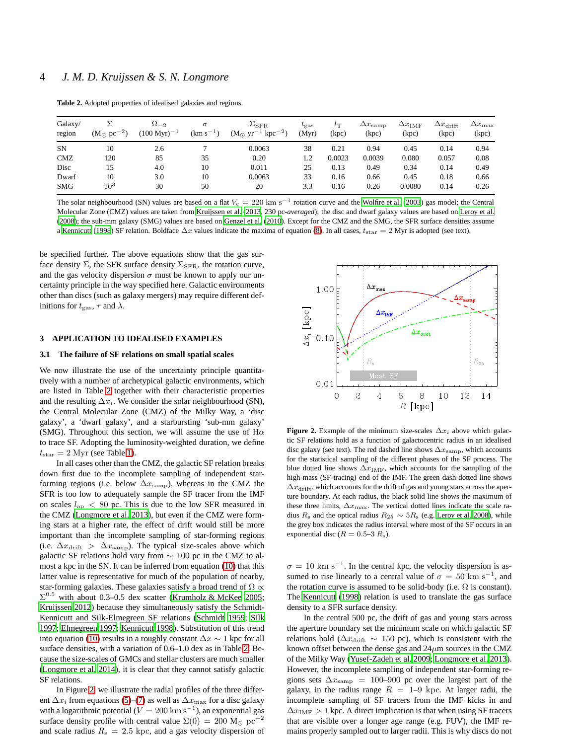| Galaxy/<br>region | $(M_{\odot} \text{ pc}^{-2})$ | $\Omega_{-2}$<br>$(100 \text{ Myr})^{-1}$ | $\sigma$<br>$(km s^{-1})$ | $\Sigma_{\rm SFR}$<br>$(M_{\odot} \text{ yr}^{-1} \text{ kpc}^{-2})$ | $t_{\rm gas}$<br>(Myr) | $l_{\rm T}$<br>(kpc) | $\Delta x_{\rm samp}$<br>(kpc) | $\Delta x_{\rm IMF}$<br>(kpc) | $\Delta x_{\text{drift}}$<br>(kpc) | $\Delta x_{\rm max}$<br>(kpc) |
|-------------------|-------------------------------|-------------------------------------------|---------------------------|----------------------------------------------------------------------|------------------------|----------------------|--------------------------------|-------------------------------|------------------------------------|-------------------------------|
| <b>SN</b>         | 10                            | 2.6                                       |                           | 0.0063                                                               | 38                     | 0.21                 | 0.94                           | 0.45                          | 0.14                               | 0.94                          |
| <b>CMZ</b>        | 120                           | 85                                        | 35                        | 0.20                                                                 | 1.2                    | 0.0023               | 0.0039                         | 0.080                         | 0.057                              | 0.08                          |
| Disc              | 15                            | 4.0                                       | 10                        | 0.011                                                                | 25                     | 0.13                 | 0.49                           | 0.34                          | 0.14                               | 0.49                          |
| Dwarf             | 10                            | 3.0                                       | 10                        | 0.0063                                                               | 33                     | 0.16                 | 0.66                           | 0.45                          | 0.18                               | 0.66                          |
| <b>SMG</b>        | $10^3\,$                      | 30                                        | 50                        | 20                                                                   | 3.3                    | 0.16                 | 0.26                           | 0.0080                        | 0.14                               | 0.26                          |

<span id="page-4-1"></span>**Table 2.** Adopted properties of idealised galaxies and regions.

The solar neighbourhood (SN) values are based on a flat  $V_c = 220 \text{ km s}^{-1}$  rotation curve and the [Wolfire et al.](#page-10-19) [\(2003](#page-10-19)) gas model; the Central Molecular Zone (CMZ) values are taken from [Kruijssen et al. \(2013](#page-10-20), 230 pc-*averaged*); the disc and dwarf galaxy values are based on [Leroy et al.](#page-10-21) [\(2008](#page-10-21)); the sub-mm galaxy (SMG) values are based on [Genzel et](#page-10-22) al. [\(2010](#page-10-22)). Except for the CMZ and the SMG, the SFR surface densities assume a [Kennicutt \(1998](#page-10-1)) SF relation. Boldface  $\Delta x$  values indicate the maxima of equation [\(8\)](#page-2-4). In all cases,  $t_{\text{star}} = 2$  Myr is adopted (see text).

be specified further. The above equations show that the gas surface density  $\Sigma$ , the SFR surface density  $\Sigma_{\rm SFR}$ , the rotation curve, and the gas velocity dispersion  $\sigma$  must be known to apply our uncertainty principle in the way specified here. Galactic environments other than discs (such as galaxy mergers) may require different definitions for  $t_{\rm gas}$ ,  $\tau$  and  $\lambda$ .

## <span id="page-4-0"></span>**3 APPLICATION TO IDEALISED EXAMPLES**

#### **3.1 The failure of SF relations on small spatial scales**

We now illustrate the use of the uncertainty principle quantitatively with a number of archetypical galactic environments, which are listed in Table [2](#page-4-1) together with their characteristic properties and the resulting  $\Delta x_i$ . We consider the solar neighbourhood (SN), the Central Molecular Zone (CMZ) of the Milky Way, a 'disc galaxy', a 'dwarf galaxy', and a starbursting 'sub-mm galaxy' (SMG). Throughout this section, we will assume the use of  $H\alpha$ to trace SF. Adopting the luminosity-weighted duration, we define  $t_{\text{star}} = 2$  Myr (see Table [1\)](#page-3-0).

In all cases other than the CMZ, the galactic SF relation breaks down first due to the incomplete sampling of independent starforming regions (i.e. below  $\Delta x_{\rm samp}$ ), whereas in the CMZ the SFR is too low to adequately sample the SF tracer from the IMF on scales  $l_{\rm ap}$  < 80 pc. This is due to the low SFR measured in the CMZ [\(Longmore et al. 2013](#page-10-23)), but even if the CMZ were forming stars at a higher rate, the effect of drift would still be more important than the incomplete sampling of star-forming regions (i.e.  $\Delta x_{\text{drift}} > \Delta x_{\text{ samp}}$ ). The typical size-scales above which galactic SF relations hold vary from  $\sim 100$  pc in the CMZ to almost a kpc in the SN. It can be inferred from equation [\(10\)](#page-3-2) that this latter value is representative for much of the population of nearby, star-forming galaxies. These galaxies satisfy a broad trend of  $\Omega \propto$  $\Sigma^{0.5}$  with about 0.3–0.5 dex scatter [\(Krumholz & McKee 2005;](#page-10-18) [Kruijssen 2012](#page-10-24)) because they simultaneously satisfy the Schmidt-Kennicutt and Silk-Elmegreen SF relations [\(Schmidt 1959](#page-10-25); [Silk](#page-10-0) [1997;](#page-10-0) [Elmegreen 1997;](#page-10-26) [Kennicutt 1998](#page-10-1)). Substitution of this trend into equation [\(10\)](#page-3-2) results in a roughly constant  $\Delta x \sim 1$  kpc for all surface densities, with a variation of 0.6–1.0 dex as in Table [2.](#page-4-1) Because the size-scales of GMCs and stellar clusters are much smaller [\(Longmore et al. 2014\)](#page-10-27), it is clear that they cannot satisfy galactic SF relations.

In Figure [2,](#page-4-2) we illustrate the radial profiles of the three different  $\Delta x_i$  from equations [\(5\)](#page-2-2)–[\(7\)](#page-2-3) as well as  $\Delta x_{\text{max}}$  for a disc galaxy with a logarithmic potential ( $V = 200 \text{ km s}^{-1}$ ), an exponential gas surface density profile with central value  $\Sigma(0) = 200 \text{ M}_{\odot} \text{ pc}^{-2}$ and scale radius  $R_s = 2.5$  kpc, and a gas velocity dispersion of



<span id="page-4-2"></span>**Figure 2.** Example of the minimum size-scales  $\Delta x_i$  above which galactic SF relations hold as a function of galactocentric radius in an idealised disc galaxy (see text). The red dashed line shows  $\Delta x_{\rm samp}$ , which accounts for the statistical sampling of the different phases of the SF process. The blue dotted line shows  $\Delta x_{\text{IMF}}$ , which accounts for the sampling of the high-mass (SF-tracing) end of the IMF. The green dash-dotted line shows  $\Delta x_{\text{drift}}$ , which accounts for the drift of gas and young stars across the aperture boundary. At each radius, the black solid line shows the maximum of these three limits,  $\Delta x_{\text{max}}$ . The vertical dotted lines indicate the scale radius R<sub>s</sub> and the optical radius R<sub>25</sub>  $\sim$  5R<sub>s</sub> (e.g. [Leroy et al. 2008](#page-10-21)), while the grey box indicates the radius interval where most of the SF occurs in an exponential disc ( $R = 0.5-3 R<sub>s</sub>$ ).

 $\sigma = 10$  km s<sup>-1</sup>. In the central kpc, the velocity dispersion is assumed to rise linearly to a central value of  $\sigma = 50 \text{ km s}^{-1}$ , and the rotation curve is assumed to be solid-body (i.e.  $\Omega$  is constant). The [Kennicutt \(1998](#page-10-1)) relation is used to translate the gas surface density to a SFR surface density.

In the central 500 pc, the drift of gas and young stars across the aperture boundary set the minimum scale on which galactic SF relations hold ( $\Delta x_{\text{drift}} \sim 150$  pc), which is consistent with the known offset between the dense gas and  $24\mu$ m sources in the CMZ of the Milky Way [\(Yusef-Zadeh et al. 2009](#page-10-28); [Longmore et al. 2013](#page-10-23)). However, the incomplete sampling of independent star-forming regions sets  $\Delta x_{\text{ samp}} = 100-900$  pc over the largest part of the galaxy, in the radius range  $R = 1-9$  kpc. At larger radii, the incomplete sampling of SF tracers from the IMF kicks in and  $\Delta x_{\text{IMF}} > 1$  kpc. A direct implication is that when using SF tracers that are visible over a longer age range (e.g. FUV), the IMF remains properly sampled out to larger radii. This is why discs do not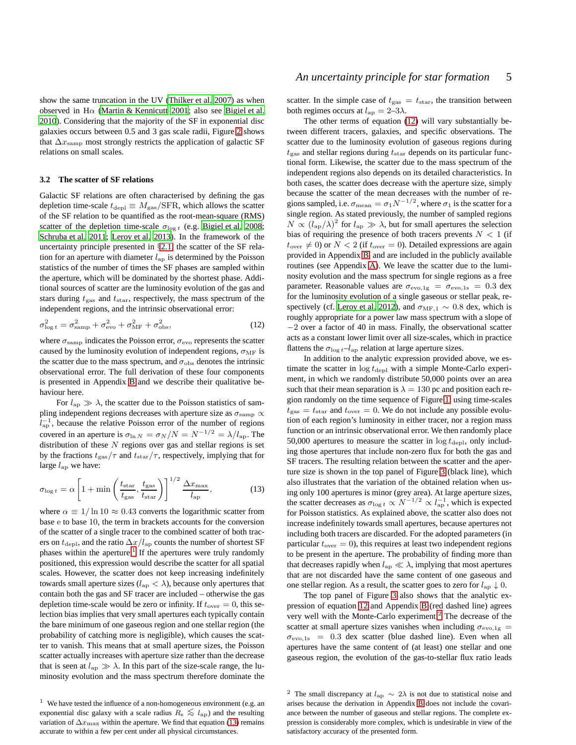show the same truncation in the UV [\(Thilker et al. 2007\)](#page-10-29) as when observed in H $\alpha$  [\(Martin & Kennicutt 2001](#page-10-30); also see [Bigiel et al.](#page-10-31) [2010](#page-10-31)). Considering that the majority of the SF in exponential disc galaxies occurs between 0.5 and 3 gas scale radii, Figure [2](#page-4-2) shows that  $\Delta x$ <sub>samp</sub> most strongly restricts the application of galactic SF relations on small scales.

#### <span id="page-5-4"></span>**3.2 The scatter of SF relations**

Galactic SF relations are often characterised by defining the gas depletion time-scale  $t_{\text{depl}} \equiv M_{\text{gas}}/\text{SFR}$ , which allows the scatter of the SF relation to be quantified as the root-mean-square (RMS) scatter of the depletion time-scale  $\sigma_{\log t}$  (e.g. [Bigiel et al. 2008;](#page-10-32) [Schruba et al. 2011;](#page-10-33) [Leroy et al. 2013](#page-10-10)). In the framework of the uncertainty principle presented in §[2.1,](#page-1-1) the scatter of the SF relation for an aperture with diameter  $l_{ap}$  is determined by the Poisson statistics of the number of times the SF phases are sampled within the aperture, which will be dominated by the shortest phase. Additional sources of scatter are the luminosity evolution of the gas and stars during  $t_{\text{gas}}$  and  $t_{\text{star}}$ , respectively, the mass spectrum of the independent regions, and the intrinsic observational error:

<span id="page-5-2"></span>
$$
\sigma_{\log t}^2 = \sigma_{\text{samp}}^2 + \sigma_{\text{evo}}^2 + \sigma_{\text{MF}}^2 + \sigma_{\text{obs}}^2,\tag{12}
$$

where  $\sigma_{\text{samp}}$  indicates the Poisson error,  $\sigma_{\text{evo}}$  represents the scatter caused by the luminosity evolution of independent regions,  $\sigma_{\text{MF}}$  is the scatter due to the mass spectrum, and  $\sigma_{\rm obs}$  denotes the intrinsic observational error. The full derivation of these four components is presented in Appendix [B](#page-12-0) and we describe their qualitative behaviour here.

For  $l_{\rm ap} \gg \lambda$ , the scatter due to the Poisson statistics of sampling independent regions decreases with aperture size as  $\sigma_{\rm samp} \propto$  $l_{\rm ap}^{-1}$ , because the relative Poisson error of the number of regions covered in an aperture is  $\sigma_{\ln N} = \sigma_N/N = N^{-1/2} = \lambda/l_{\rm ap}$ . The distribution of these  $N$  regions over gas and stellar regions is set by the fractions  $t_{\text{gas}}/\tau$  and  $t_{\text{star}}/\tau$ , respectively, implying that for large  $l_{\rm ap}$  we have:

<span id="page-5-1"></span>
$$
\sigma_{\log t} = \alpha \left[ 1 + \min \left( \frac{t_{\text{star}}}{t_{\text{gas}}}, \frac{t_{\text{gas}}}{t_{\text{star}}} \right) \right]^{1/2} \frac{\Delta x_{\text{max}}}{l_{\text{ap}}},\tag{13}
$$

where  $\alpha \equiv 1/\ln 10 \approx 0.43$  converts the logarithmic scatter from base e to base 10, the term in brackets accounts for the conversion of the scatter of a single tracer to the combined scatter of both tracers on  $t_{\text{depl}}$ , and the ratio  $\Delta x/l_{\text{ap}}$  counts the number of shortest SF phases within the aperture.<sup>[1](#page-5-0)</sup> If the apertures were truly randomly positioned, this expression would describe the scatter for all spatial scales. However, the scatter does not keep increasing indefinitely towards small aperture sizes ( $l_{\text{ap}} < \lambda$ ), because only apertures that contain both the gas and SF tracer are included – otherwise the gas depletion time-scale would be zero or infinity. If  $t_{\text{over}} = 0$ , this selection bias implies that very small apertures each typically contain the bare minimum of one gaseous region and one stellar region (the probability of catching more is negligible), which causes the scatter to vanish. This means that at small aperture sizes, the Poisson scatter actually increases with aperture size rather than the decrease that is seen at  $l_{\rm ap} \gg \lambda$ . In this part of the size-scale range, the luminosity evolution and the mass spectrum therefore dominate the

scatter. In the simple case of  $t_{\text{gas}} = t_{\text{star}}$ , the transition between both regimes occurs at  $l_{\rm ap} = 2-3\lambda$ .

The other terms of equation [\(12\)](#page-5-2) will vary substantially between different tracers, galaxies, and specific observations. The scatter due to the luminosity evolution of gaseous regions during  $t_{\rm gas}$  and stellar regions during  $t_{\rm star}$  depends on its particular functional form. Likewise, the scatter due to the mass spectrum of the independent regions also depends on its detailed characteristics. In both cases, the scatter does decrease with the aperture size, simply because the scatter of the mean decreases with the number of regions sampled, i.e.  $\sigma_{\text{mean}} = \sigma_1 N^{-1/2}$ , where  $\sigma_1$  is the scatter for a single region. As stated previously, the number of sampled regions  $N \propto (l_{\rm ap}/\lambda)^2$  for  $l_{\rm ap} \gg \lambda$ , but for small apertures the selection bias of requiring the presence of both tracers prevents  $N < 1$  (if  $t_{\text{over}} \neq 0$ ) or  $N < 2$  (if  $t_{\text{over}} = 0$ ). Detailed expressions are again provided in Appendix [B,](#page-12-0) and are included in the publicly available routines (see Appendix [A\)](#page-11-0). We leave the scatter due to the luminosity evolution and the mass spectrum for single regions as a free parameter. Reasonable values are  $\sigma_{\text{evo,1g}} = \sigma_{\text{evo,1s}} = 0.3$  dex for the luminosity evolution of a single gaseous or stellar peak, re-spectively (cf. [Leroy et al. 2012](#page-10-9)), and  $\sigma_{\text{MF},1} \sim 0.8$  dex, which is roughly appropriate for a power law mass spectrum with a slope of −2 over a factor of 40 in mass. Finally, the observational scatter acts as a constant lower limit over all size-scales, which in practice flattens the  $\sigma_{\log t}$ – $l_{\text{ap}}$  relation at large aperture sizes.

In addition to the analytic expression provided above, we estimate the scatter in  $\log t_{\rm depl}$  with a simple Monte-Carlo experiment, in which we randomly distribute 50,000 points over an area such that their mean separation is  $\lambda = 130$  pc and position each region randomly on the time sequence of Figure [1,](#page-3-1) using time-scales  $t_{\rm gas} = t_{\rm star}$  and  $t_{\rm over} = 0$ . We do not include any possible evolution of each region's luminosity in either tracer, nor a region mass function or an intrinsic observational error. We then randomly place 50,000 apertures to measure the scatter in  $\log t_{\rm depl}$ , only including those apertures that include non-zero flux for both the gas and SF tracers. The resulting relation between the scatter and the aperture size is shown in the top panel of Figure [3](#page-6-1) (black line), which also illustrates that the variation of the obtained relation when using only 100 apertures is minor (grey area). At large aperture sizes, the scatter decreases as  $\sigma_{\log t} \propto N^{-1/2} \propto l_{\rm ap}^{-1}$ , which is expected for Poisson statistics. As explained above, the scatter also does not increase indefinitely towards small apertures, because apertures not including both tracers are discarded. For the adopted parameters (in particular  $t_{\text{over}} = 0$ , this requires at least two independent regions to be present in the aperture. The probability of finding more than that decreases rapidly when  $l_{\rm ap} \ll \lambda$ , implying that most apertures that are not discarded have the same content of one gaseous and one stellar region. As a result, the scatter goes to zero for  $l_{ap} \downarrow 0$ .

The top panel of Figure [3](#page-6-1) also shows that the analytic expression of equation [12](#page-5-2) and Appendix [B](#page-12-0) (red dashed line) agrees very well with the Monte-Carlo experiment.<sup>[2](#page-5-3)</sup> The decrease of the scatter at small aperture sizes vanishes when including  $\sigma_{\text{evo,1g}} =$  $\sigma_{\text{evo,1s}}$  = 0.3 dex scatter (blue dashed line). Even when all apertures have the same content of (at least) one stellar and one gaseous region, the evolution of the gas-to-stellar flux ratio leads

<span id="page-5-0"></span><sup>1</sup> We have tested the influence of a non-homogeneous environment (e.g. an exponential disc galaxy with a scale radius  $R_s \le l_{\rm ap}$ ) and the resulting variation of  $\Delta x_{\text{max}}$  within the aperture. We find that equation [\(13\)](#page-5-1) remains accurate to within a few per cent under all physical circumstances.

<span id="page-5-3"></span><sup>&</sup>lt;sup>2</sup> The small discrepancy at  $l_{\rm ap} \sim 2\lambda$  is not due to statistical noise and arises because the derivation in Appendix [B](#page-12-0) does not include the covariance between the number of gaseous and stellar regions. The complete expression is considerably more complex, which is undesirable in view of the satisfactory accuracy of the presented form.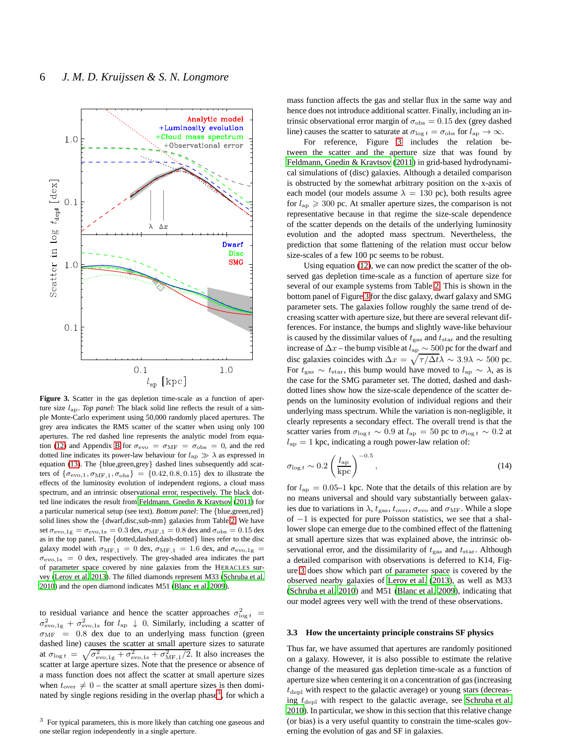

<span id="page-6-1"></span>Figure 3. Scatter in the gas depletion time-scale as a function of aperture size lap. *Top panel*: The black solid line reflects the result of a simple Monte-Carlo experiment using 50,000 randomly placed apertures. The grey area indicates the RMS scatter of the scatter when using only 100 apertures. The red dashed line represents the analytic model from equa-tion [\(12\)](#page-5-2) and Appendix [B](#page-12-0) for  $\sigma_{\text{evo}} = \sigma_{\text{MF}} = \sigma_{\text{obs}} = 0$ , and the red dotted line indicates its power-law behaviour for  $l_{\rm ap}\gg \lambda$  as expressed in equation [\(13\)](#page-5-1). The {blue,green,grey} dashed lines subsequently add scatters of  $\{\sigma_{\text{evo},1}, \sigma_{\text{MF},1}, \sigma_{\text{obs}}\}$  =  $\{0.42, 0.8, 0.15\}$  dex to illustrate the effects of the luminosity evolution of independent regions, a cloud mass spectrum, and an intrinsic observational error, respectively. The black dotted line indicates the result from [Feldmann, Gnedin & Kravtsov \(2011](#page-10-34)) for a particular numerical setup (see text). *Bottom panel*: The {blue,green,red} solid lines show the {dwarf,disc,sub-mm} galaxies from Table [2.](#page-4-1) We have set  $\sigma_{\text{evo},1g} = \sigma_{\text{evo},1s} = 0.3$  dex,  $\sigma_{\text{MF},1} = 0.8$  dex and  $\sigma_{\text{obs}} = 0.15$  dex as in the top panel. The {dotted,dashed,dash-dotted} lines refer to the disc galaxy model with  $\sigma_{\text{MF},1} = 0$  dex,  $\sigma_{\text{MF},1} = 1.6$  dex, and  $\sigma_{\text{evo},1g} =$  $\sigma_{\text{evo},1s} = 0$  dex, respectively. The grey-shaded area indicates the part of parameter space covered by nine galaxies from the HERACLES survey [\(Leroy et al. 2013\)](#page-10-10). The filled diamonds represent M33 [\(Schruba et al.](#page-10-4) [2010](#page-10-4)) and the open diamond indicates M51 [\(Blanc et al. 2009](#page-10-7)).

to residual variance and hence the scatter approaches  $\sigma_{\log t}^2$  =  $\sigma_{\text{evo},1g}^2 + \sigma_{\text{evo},1s}^2$  for  $l_{\text{ap}} \downarrow 0$ . Similarly, including a scatter of  $\sigma_{\text{MF}}$  = 0.8 dex due to an underlying mass function (green dashed line) causes the scatter at small aperture sizes to saturate at  $\sigma_{\log t} = \sqrt{\sigma_{\text{evo},1g}^2 + \sigma_{\text{evo},1s}^2 + \sigma_{\text{MF},1}^2/2}$ . It also increases the scatter at large aperture sizes. Note that the presence or absence of a mass function does not affect the scatter at small aperture sizes when  $t_{over} \neq 0$  – the scatter at small aperture sizes is then domi-nated by single regions residing in the overlap phase<sup>[3](#page-6-2)</sup>, for which a

mass function affects the gas and stellar flux in the same way and hence does not introduce additional scatter. Finally, including an intrinsic observational error margin of  $\sigma_{\rm obs} = 0.15$  dex (grey dashed line) causes the scatter to saturate at  $\sigma_{\log t} = \sigma_{\text{obs}}$  for  $l_{\text{ap}} \to \infty$ .

For reference, Figure [3](#page-6-1) includes the relation between the scatter and the aperture size that was found by [Feldmann, Gnedin & Kravtsov \(2011\)](#page-10-34) in grid-based hydrodynamical simulations of (disc) galaxies. Although a detailed comparison is obstructed by the somewhat arbitrary position on the x-axis of each model (our models assume  $\lambda = 130$  pc), both results agree for  $l_{\rm ap} \geqslant 300$  pc. At smaller aperture sizes, the comparison is not representative because in that regime the size-scale dependence of the scatter depends on the details of the underlying luminosity evolution and the adopted mass spectrum. Nevertheless, the prediction that some flattening of the relation must occur below size-scales of a few 100 pc seems to be robust.

Using equation [\(12\)](#page-5-2), we can now predict the scatter of the observed gas depletion time-scale as a function of aperture size for several of our example systems from Table [2.](#page-4-1) This is shown in the bottom panel of Figure [3](#page-6-1) for the disc galaxy, dwarf galaxy and SMG parameter sets. The galaxies follow roughly the same trend of decreasing scatter with aperture size, but there are several relevant differences. For instance, the bumps and slightly wave-like behaviour is caused by the dissimilar values of  $t_{\text{gas}}$  and  $t_{\text{star}}$  and the resulting increase of ∆x – the bump visible at lap ∼ 500 pc for the dwarf and disc galaxies coincides with  $\Delta x = \sqrt{\tau / \Delta t} \lambda \sim 3.9 \lambda \sim 500$  pc. For  $t_{\rm gas} \sim t_{\rm star}$ , this bump would have moved to  $l_{\rm ap} \sim \lambda$ , as is the case for the SMG parameter set. The dotted, dashed and dashdotted lines show how the size-scale dependence of the scatter depends on the luminosity evolution of individual regions and their underlying mass spectrum. While the variation is non-negligible, it clearly represents a secondary effect. The overall trend is that the scatter varies from  $\sigma_{\log t} \sim 0.9$  at  $l_{\text{ap}} = 50$  pc to  $\sigma_{\log t} \sim 0.2$  at  $l_{\rm ap} = 1$  kpc, indicating a rough power-law relation of:

$$
\sigma_{\log t} \sim 0.2 \left(\frac{l_{\rm ap}}{\rm kpc}\right)^{-0.5},\tag{14}
$$

for  $l_{\rm ap} = 0.05$ –1 kpc. Note that the details of this relation are by no means universal and should vary substantially between galaxies due to variations in  $\lambda$ ,  $t_{\text{gas}}$ ,  $t_{\text{over}}$ ,  $\sigma_{\text{evo}}$  and  $\sigma_{\text{MF}}$ . While a slope of −1 is expected for pure Poisson statistics, we see that a shallower slope can emerge due to the combined effect of the flattening at small aperture sizes that was explained above, the intrinsic observational error, and the dissimilarity of  $t_{\text{gas}}$  and  $t_{\text{star}}$ . Although a detailed comparison with observations is deferred to K14, Figure [3](#page-6-1) does show which part of parameter space is covered by the observed nearby galaxies of [Leroy et al. \(2013\)](#page-10-10), as well as M33 [\(Schruba et al. 2010\)](#page-10-4) and M51 [\(Blanc et al. 2009\)](#page-10-7), indicating that our model agrees very well with the trend of these observations.

#### <span id="page-6-0"></span>**3.3 How the uncertainty principle constrains SF physics**

Thus far, we have assumed that apertures are randomly positioned on a galaxy. However, it is also possible to estimate the relative change of the measured gas depletion time-scale as a function of aperture size when centering it on a concentration of gas (increasing  $t_{\text{depl}}$  with respect to the galactic average) or young stars (decreasing  $t_{\text{depl}}$  with respect to the galactic average, see [Schruba et al.](#page-10-4) [2010](#page-10-4)). In particular, we show in this section that this relative change (or bias) is a very useful quantity to constrain the time-scales governing the evolution of gas and SF in galaxies.

<span id="page-6-2"></span><sup>&</sup>lt;sup>3</sup> For typical parameters, this is more likely than catching one gaseous and one stellar region independently in a single aperture.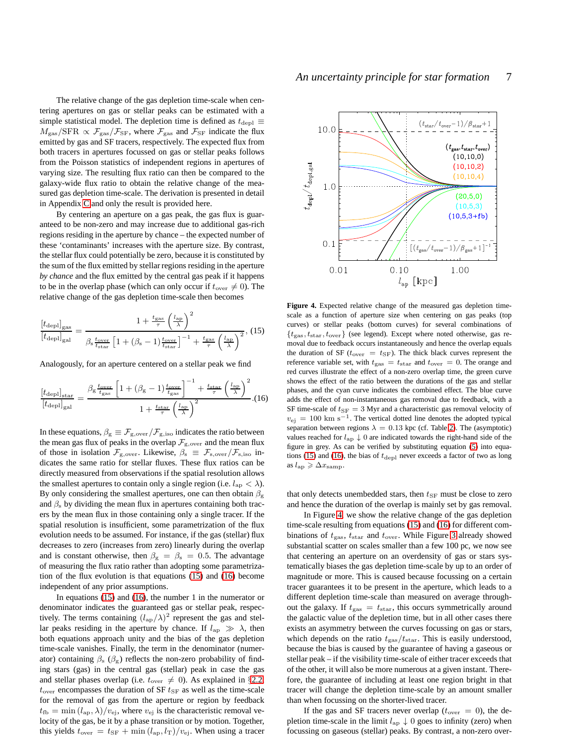The relative change of the gas depletion time-scale when centering apertures on gas or stellar peaks can be estimated with a simple statistical model. The depletion time is defined as  $t_{\text{depl}} \equiv$  $M_{\rm gas}/\rm SFR \propto \mathcal{F}_{\rm gas}/\mathcal{F}_{\rm SF}$ , where  $\mathcal{F}_{\rm gas}$  and  $\mathcal{F}_{\rm SF}$  indicate the flux emitted by gas and SF tracers, respectively. The expected flux from both tracers in apertures focussed on gas or stellar peaks follows from the Poisson statistics of independent regions in apertures of varying size. The resulting flux ratio can then be compared to the galaxy-wide flux ratio to obtain the relative change of the measured gas depletion time-scale. The derivation is presented in detail in Appendix [C](#page-13-0) and only the result is provided here.

By centering an aperture on a gas peak, the gas flux is guaranteed to be non-zero and may increase due to additional gas-rich regions residing in the aperture by chance – the expected number of these 'contaminants' increases with the aperture size. By contrast, the stellar flux could potentially be zero, because it is constituted by the sum of the flux emitted by stellar regions residing in the aperture *by chance* and the flux emitted by the central gas peak if it happens to be in the overlap phase (which can only occur if  $t_{\text{over}} \neq 0$ ). The relative change of the gas depletion time-scale then becomes

<span id="page-7-0"></span>
$$
\frac{\left[t_{\text{depl}}\right]_{\text{gas}}}{\left[t_{\text{depl}}\right]_{\text{gal}}} = \frac{1 + \frac{t_{\text{gas}}}{\tau} \left(\frac{l_{\text{ap}}}{\lambda}\right)^2}{\beta_{\text{s}} \frac{t_{\text{over}}}{t_{\text{star}}}\left[1 + (\beta_{\text{s}} - 1)\frac{t_{\text{over}}}{t_{\text{star}}}\right]^{-1} + \frac{t_{\text{gas}}}{\tau} \left(\frac{l_{\text{ap}}}{\lambda}\right)^2}, (15)
$$

Analogously, for an aperture centered on a stellar peak we find

<span id="page-7-1"></span>
$$
\frac{\left[t_{\text{depl}}\right]_{\text{star}}}{\left[t_{\text{depl}}\right]_{\text{gal}}} = \frac{\beta_g \frac{t_{\text{over}}}{t_{\text{gas}}}\left[1 + \left(\beta_g - 1\right)\frac{t_{\text{over}}}{t_{\text{gas}}}\right]^{-1} + \frac{t_{\text{star}}}{\tau}\left(\frac{l_{\text{ap}}}{\lambda}\right)^2}{1 + \frac{t_{\text{star}}}{\tau}\left(\frac{l_{\text{ap}}}{\lambda}\right)^2} \tag{16}
$$

In these equations,  $\beta_{\rm g}\equiv\mathcal{F}_{\rm g,over}/\mathcal{F}_{\rm g,iso}$  indicates the ratio between the mean gas flux of peaks in the overlap  $\mathcal{F}_{g,over}$  and the mean flux of those in isolation  $\mathcal{F}_{g, over}$ . Likewise,  $\beta_s \equiv \mathcal{F}_{s, over} / \mathcal{F}_{s, iso}$  indicates the same ratio for stellar fluxes. These flux ratios can be directly measured from observations if the spatial resolution allows the smallest apertures to contain only a single region (i.e.  $l_{\rm ap} < \lambda$ ). By only considering the smallest apertures, one can then obtain  $\beta_{\rm g}$ and  $\beta_s$  by dividing the mean flux in apertures containing both tracers by the mean flux in those containing only a single tracer. If the spatial resolution is insufficient, some parametrization of the flux evolution needs to be assumed. For instance, if the gas (stellar) flux decreases to zero (increases from zero) linearly during the overlap and is constant otherwise, then  $\beta_{\rm g} = \beta_{\rm s} = 0.5$ . The advantage of measuring the flux ratio rather than adopting some parametrization of the flux evolution is that equations [\(15\)](#page-7-0) and [\(16\)](#page-7-1) become independent of any prior assumptions.

In equations [\(15\)](#page-7-0) and [\(16\)](#page-7-1), the number 1 in the numerator or denominator indicates the guaranteed gas or stellar peak, respectively. The terms containing  $(l_{\rm ap}/\lambda)^2$  represent the gas and stellar peaks residing in the aperture by chance. If  $l_{\rm ap} \gg \lambda$ , then both equations approach unity and the bias of the gas depletion time-scale vanishes. Finally, the term in the denominator (numerator) containing  $\beta_s$  ( $\beta_g$ ) reflects the non-zero probability of finding stars (gas) in the central gas (stellar) peak in case the gas and stellar phases overlap (i.e.  $t_{over} \neq 0$ ). As explained in §[2.2,](#page-3-3)  $t_{over}$  encompasses the duration of SF  $t_{SF}$  as well as the time-scale for the removal of gas from the aperture or region by feedback  $t_{\text{fb}} = \min_{(l_{\text{ap}}, \lambda)/v_{\text{ej}}}$ , where  $v_{\text{ej}}$  is the characteristic removal velocity of the gas, be it by a phase transition or by motion. Together, this yields  $t_{over} = t_{SF} + \min(l_{ap}, l_T)/v_{ej}$ . When using a tracer



<span id="page-7-2"></span>**Figure 4.** Expected relative change of the measured gas depletion timescale as a function of aperture size when centering on gas peaks (top curves) or stellar peaks (bottom curves) for several combinations of  ${t_{\text{gas}, t_{\text{star}, t_{\text{over}}}}$  (see legend). Except where noted otherwise, gas removal due to feedback occurs instantaneously and hence the overlap equals the duration of SF ( $t_{\text{over}} = t_{\text{SF}}$ ). The thick black curves represent the reference variable set, with  $t_{\text{gas}} = t_{\text{star}}$  and  $t_{\text{over}} = 0$ . The orange and red curves illustrate the effect of a non-zero overlap time, the green curve shows the effect of the ratio between the durations of the gas and stellar phases, and the cyan curve indicates the combined effect. The blue curve adds the effect of non-instantaneous gas removal due to feedback, with a SF time-scale of  $t_{\rm SF} = 3$  Myr and a characteristic gas removal velocity of  $v_{\text{ej}} = 100 \text{ km s}^{-1}$ . The vertical dotted line denotes the adopted typical separation between regions  $\lambda = 0.13$  kpc (cf. Table [2\)](#page-4-1). The (asymptotic) values reached for  $l_{\text{ap}} \downarrow 0$  are indicated towards the right-hand side of the figure in grey. As can be verified by substituting equation [\(5\)](#page-2-2) into equa-tions [\(15\)](#page-7-0) and [\(16\)](#page-7-1), the bias of  $t_{\text{depl}}$  never exceeds a factor of two as long as  $l_{\rm ap} \geqslant \Delta x_{\rm samp}$ .

that only detects unembedded stars, then  $t_{\text{SF}}$  must be close to zero and hence the duration of the overlap is mainly set by gas removal.

In Figure [4,](#page-7-2) we show the relative change of the gas depletion time-scale resulting from equations [\(15\)](#page-7-0) and [\(16\)](#page-7-1) for different combinations of  $t_{\rm gas}$ ,  $t_{\rm star}$  and  $t_{\rm over}$ . While Figure [3](#page-6-1) already showed substantial scatter on scales smaller than a few 100 pc, we now see that centering an aperture on an overdensity of gas or stars systematically biases the gas depletion time-scale by up to an order of magnitude or more. This is caused because focussing on a certain tracer guarantees it to be present in the aperture, which leads to a different depletion time-scale than measured on average throughout the galaxy. If  $t_{\text{gas}} = t_{\text{star}}$ , this occurs symmetrically around the galactic value of the depletion time, but in all other cases there exists an asymmetry between the curves focussing on gas or stars, which depends on the ratio  $t_{\text{gas}}/t_{\text{star}}$ . This is easily understood, because the bias is caused by the guarantee of having a gaseous or stellar peak – if the visibility time-scale of either tracer exceeds that of the other, it will also be more numerous at a given instant. Therefore, the guarantee of including at least one region bright in that tracer will change the depletion time-scale by an amount smaller than when focussing on the shorter-lived tracer.

If the gas and SF tracers never overlap ( $t_{\text{over}} = 0$ ), the depletion time-scale in the limit  $l_{ap} \downarrow 0$  goes to infinity (zero) when focussing on gaseous (stellar) peaks. By contrast, a non-zero over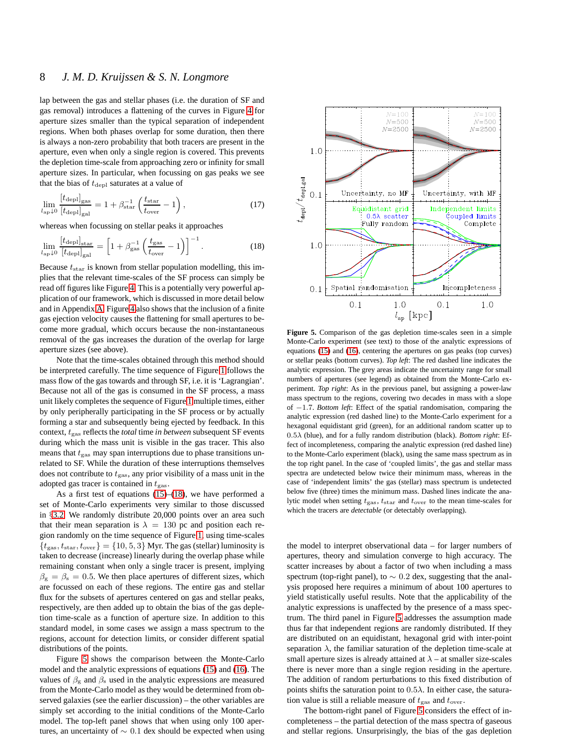lap between the gas and stellar phases (i.e. the duration of SF and gas removal) introduces a flattening of the curves in Figure [4](#page-7-2) for aperture sizes smaller than the typical separation of independent regions. When both phases overlap for some duration, then there is always a non-zero probability that both tracers are present in the aperture, even when only a single region is covered. This prevents the depletion time-scale from approaching zero or infinity for small aperture sizes. In particular, when focussing on gas peaks we see that the bias of  $t_{\text{depl}}$  saturates at a value of

$$
\lim_{l_{\text{ap}} \downarrow 0} \frac{\left[t_{\text{depl}}\right]_{\text{gas}}}{\left[t_{\text{depl}}\right]_{\text{gal}}} = 1 + \beta_{\text{star}}^{-1} \left(\frac{t_{\text{star}}}{t_{\text{over}}} - 1\right),\tag{17}
$$

whereas when focussing on stellar peaks it approaches

<span id="page-8-0"></span>
$$
\lim_{l_{\rm ap}\downarrow 0} \frac{\left[t_{\rm depl}\right]_{\rm star}}{\left[t_{\rm depl}\right]_{\rm gal}} = \left[1 + \beta_{\rm gas}^{-1} \left(\frac{t_{\rm gas}}{t_{\rm over}} - 1\right)\right]^{-1}.\tag{18}
$$

Because  $t_{\text{star}}$  is known from stellar population modelling, this implies that the relevant time-scales of the SF process can simply be read off figures like Figure [4.](#page-7-2) This is a potentially very powerful application of our framework, which is discussed in more detail below and in Appendix [A.](#page-11-0) Figure [4](#page-7-2) also shows that the inclusion of a finite gas ejection velocity causes the flattening for small apertures to become more gradual, which occurs because the non-instantaneous removal of the gas increases the duration of the overlap for large aperture sizes (see above).

Note that the time-scales obtained through this method should be interpreted carefully. The time sequence of Figure [1](#page-3-1) follows the mass flow of the gas towards and through SF, i.e. it is 'Lagrangian'. Because not all of the gas is consumed in the SF process, a mass unit likely completes the sequence of Figure [1](#page-3-1) multiple times, either by only peripherally participating in the SF process or by actually forming a star and subsequently being ejected by feedback. In this context, tgas reflects the *total* time *in between* subsequent SF events during which the mass unit is visible in the gas tracer. This also means that  $t_{\rm gas}$  may span interruptions due to phase transitions unrelated to SF. While the duration of these interruptions themselves does not contribute to  $t_{\rm gas}$ , any prior visibility of a mass unit in the adopted gas tracer is contained in  $t_{\text{gas}}$ .

As a first test of equations  $(15)$ – $(18)$ , we have performed a set of Monte-Carlo experiments very similar to those discussed in §[3.2.](#page-5-4) We randomly distribute 20,000 points over an area such that their mean separation is  $\lambda = 130$  pc and position each region randomly on the time sequence of Figure [1,](#page-3-1) using time-scales  $\{t_{\text{gas}}, t_{\text{star}}, t_{\text{over}}\} = \{10, 5, 3\}$  Myr. The gas (stellar) luminosity is taken to decrease (increase) linearly during the overlap phase while remaining constant when only a single tracer is present, implying  $\beta_{\rm g} = \beta_{\rm s} = 0.5$ . We then place apertures of different sizes, which are focussed on each of these regions. The entire gas and stellar flux for the subsets of apertures centered on gas and stellar peaks, respectively, are then added up to obtain the bias of the gas depletion time-scale as a function of aperture size. In addition to this standard model, in some cases we assign a mass spectrum to the regions, account for detection limits, or consider different spatial distributions of the points.

Figure [5](#page-8-1) shows the comparison between the Monte-Carlo model and the analytic expressions of equations [\(15\)](#page-7-0) and [\(16\)](#page-7-1). The values of  $\beta_{\rm g}$  and  $\beta_{\rm s}$  used in the analytic expressions are measured from the Monte-Carlo model as they would be determined from observed galaxies (see the earlier discussion) – the other variables are simply set according to the initial conditions of the Monte-Carlo model. The top-left panel shows that when using only 100 apertures, an uncertainty of  $\sim 0.1$  dex should be expected when using



<span id="page-8-1"></span>**Figure 5.** Comparison of the gas depletion time-scales seen in a simple Monte-Carlo experiment (see text) to those of the analytic expressions of equations [\(15\)](#page-7-0) and [\(16\)](#page-7-1), centering the apertures on gas peaks (top curves) or stellar peaks (bottom curves). *Top left*: The red dashed line indicates the analytic expression. The grey areas indicate the uncertainty range for small numbers of apertures (see legend) as obtained from the Monte-Carlo experiment. *Top right*: As in the previous panel, but assigning a power-law mass spectrum to the regions, covering two decades in mass with a slope of −1.7. *Bottom left*: Effect of the spatial randomisation, comparing the analytic expression (red dashed line) to the Monte-Carlo experiment for a hexagonal equidistant grid (green), for an additional random scatter up to 0.5λ (blue), and for a fully random distribution (black). *Bottom right*: Effect of incompleteness, comparing the analytic expression (red dashed line) to the Monte-Carlo experiment (black), using the same mass spectrum as in the top right panel. In the case of 'coupled limits', the gas and stellar mass spectra are undetected below twice their minimum mass, whereas in the case of 'independent limits' the gas (stellar) mass spectrum is undetected below five (three) times the minimum mass. Dashed lines indicate the analytic model when setting  $t_{\text{gas}}$ ,  $t_{\text{star}}$  and  $t_{\text{over}}$  to the mean time-scales for which the tracers are *detectable* (or detectably overlapping).

the model to interpret observational data – for larger numbers of apertures, theory and simulation converge to high accuracy. The scatter increases by about a factor of two when including a mass spectrum (top-right panel), to  $\sim 0.2$  dex, suggesting that the analysis proposed here requires a minimum of about 100 apertures to yield statistically useful results. Note that the applicability of the analytic expressions is unaffected by the presence of a mass spectrum. The third panel in Figure [5](#page-8-1) addresses the assumption made thus far that independent regions are randomly distributed. If they are distributed on an equidistant, hexagonal grid with inter-point separation  $\lambda$ , the familiar saturation of the depletion time-scale at small aperture sizes is already attained at  $\lambda$  – at smaller size-scales there is never more than a single region residing in the aperture. The addition of random perturbations to this fixed distribution of points shifts the saturation point to  $0.5\lambda$ . In either case, the saturation value is still a reliable measure of  $t_{\text{gas}}$  and  $t_{\text{over}}$ .

The bottom-right panel of Figure [5](#page-8-1) considers the effect of incompleteness – the partial detection of the mass spectra of gaseous and stellar regions. Unsurprisingly, the bias of the gas depletion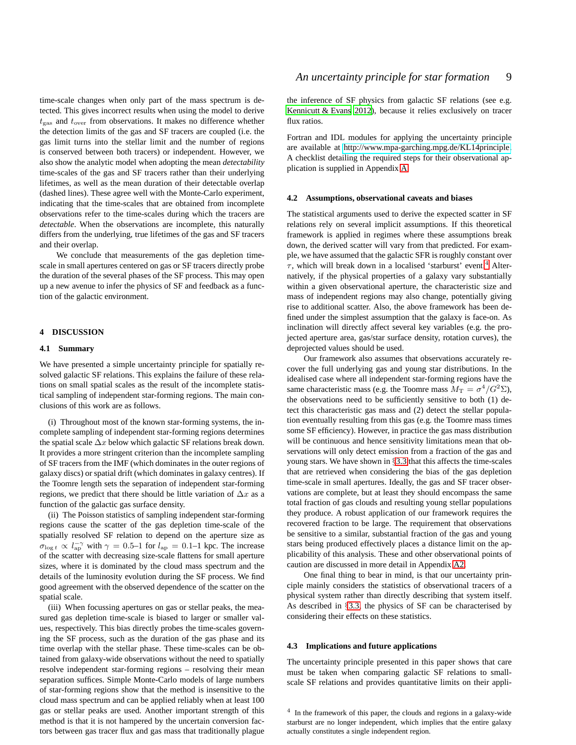time-scale changes when only part of the mass spectrum is detected. This gives incorrect results when using the model to derive  $t_{\text{gas}}$  and  $t_{\text{over}}$  from observations. It makes no difference whether the detection limits of the gas and SF tracers are coupled (i.e. the gas limit turns into the stellar limit and the number of regions is conserved between both tracers) or independent. However, we also show the analytic model when adopting the mean *detectability* time-scales of the gas and SF tracers rather than their underlying lifetimes, as well as the mean duration of their detectable overlap (dashed lines). These agree well with the Monte-Carlo experiment, indicating that the time-scales that are obtained from incomplete observations refer to the time-scales during which the tracers are *detectable*. When the observations are incomplete, this naturally differs from the underlying, true lifetimes of the gas and SF tracers and their overlap.

We conclude that measurements of the gas depletion timescale in small apertures centered on gas or SF tracers directly probe the duration of the several phases of the SF process. This may open up a new avenue to infer the physics of SF and feedback as a function of the galactic environment.

## **4 DISCUSSION**

#### **4.1 Summary**

We have presented a simple uncertainty principle for spatially resolved galactic SF relations. This explains the failure of these relations on small spatial scales as the result of the incomplete statistical sampling of independent star-forming regions. The main conclusions of this work are as follows.

(i) Throughout most of the known star-forming systems, the incomplete sampling of independent star-forming regions determines the spatial scale  $\Delta x$  below which galactic SF relations break down. It provides a more stringent criterion than the incomplete sampling of SF tracers from the IMF (which dominates in the outer regions of galaxy discs) or spatial drift (which dominates in galaxy centres). If the Toomre length sets the separation of independent star-forming regions, we predict that there should be little variation of  $\Delta x$  as a function of the galactic gas surface density.

(ii) The Poisson statistics of sampling independent star-forming regions cause the scatter of the gas depletion time-scale of the spatially resolved SF relation to depend on the aperture size as  $\sigma_{\log t} \propto l_{\rm ap}^{-\gamma}$  with  $\gamma = 0.5{\text -}1$  for  $l_{\rm ap} = 0.1{\text -}1$  kpc. The increase of the scatter with decreasing size-scale flattens for small aperture sizes, where it is dominated by the cloud mass spectrum and the details of the luminosity evolution during the SF process. We find good agreement with the observed dependence of the scatter on the spatial scale.

(iii) When focussing apertures on gas or stellar peaks, the measured gas depletion time-scale is biased to larger or smaller values, respectively. This bias directly probes the time-scales governing the SF process, such as the duration of the gas phase and its time overlap with the stellar phase. These time-scales can be obtained from galaxy-wide observations without the need to spatially resolve independent star-forming regions – resolving their mean separation suffices. Simple Monte-Carlo models of large numbers of star-forming regions show that the method is insensitive to the cloud mass spectrum and can be applied reliably when at least 100 gas or stellar peaks are used. Another important strength of this method is that it is not hampered by the uncertain conversion factors between gas tracer flux and gas mass that traditionally plague the inference of SF physics from galactic SF relations (see e.g. [Kennicutt & Evans 2012\)](#page-10-16), because it relies exclusively on tracer flux ratios.

Fortran and IDL modules for applying the uncertainty principle are available at [http://www.mpa-garching.mpg.de/KL14principle.](http://www.mpa-garching.mpg.de/KL14principle) A checklist detailing the required steps for their observational application is supplied in Appendix [A.](#page-11-0)

#### **4.2 Assumptions, observational caveats and biases**

The statistical arguments used to derive the expected scatter in SF relations rely on several implicit assumptions. If this theoretical framework is applied in regimes where these assumptions break down, the derived scatter will vary from that predicted. For example, we have assumed that the galactic SFR is roughly constant over  $\tau$ , which will break down in a localised 'starburst' event.<sup>[4](#page-9-1)</sup> Alternatively, if the physical properties of a galaxy vary substantially within a given observational aperture, the characteristic size and mass of independent regions may also change, potentially giving rise to additional scatter. Also, the above framework has been defined under the simplest assumption that the galaxy is face-on. As inclination will directly affect several key variables (e.g. the projected aperture area, gas/star surface density, rotation curves), the deprojected values should be used.

Our framework also assumes that observations accurately recover the full underlying gas and young star distributions. In the idealised case where all independent star-forming regions have the same characteristic mass (e.g. the Toomre mass  $M_{\rm T} = \sigma^4/G^2\Sigma$ ), the observations need to be sufficiently sensitive to both (1) detect this characteristic gas mass and (2) detect the stellar population eventually resulting from this gas (e.g. the Toomre mass times some SF efficiency). However, in practice the gas mass distribution will be continuous and hence sensitivity limitations mean that observations will only detect emission from a fraction of the gas and young stars. We have shown in §[3.3](#page-6-0) that this affects the time-scales that are retrieved when considering the bias of the gas depletion time-scale in small apertures. Ideally, the gas and SF tracer observations are complete, but at least they should encompass the same total fraction of gas clouds and resulting young stellar populations they produce. A robust application of our framework requires the recovered fraction to be large. The requirement that observations be sensitive to a similar, substantial fraction of the gas and young stars being produced effectively places a distance limit on the applicability of this analysis. These and other observational points of caution are discussed in more detail in Appendix [A2.](#page-11-1)

One final thing to bear in mind, is that our uncertainty principle mainly considers the statistics of observational tracers of a physical system rather than directly describing that system itself. As described in §[3.3,](#page-6-0) the physics of SF can be characterised by considering their effects on these statistics.

#### <span id="page-9-0"></span>**4.3 Implications and future applications**

The uncertainty principle presented in this paper shows that care must be taken when comparing galactic SF relations to smallscale SF relations and provides quantitative limits on their appli-

<span id="page-9-1"></span><sup>&</sup>lt;sup>4</sup> In the framework of this paper, the clouds and regions in a galaxy-wide starburst are no longer independent, which implies that the entire galaxy actually constitutes a single independent region.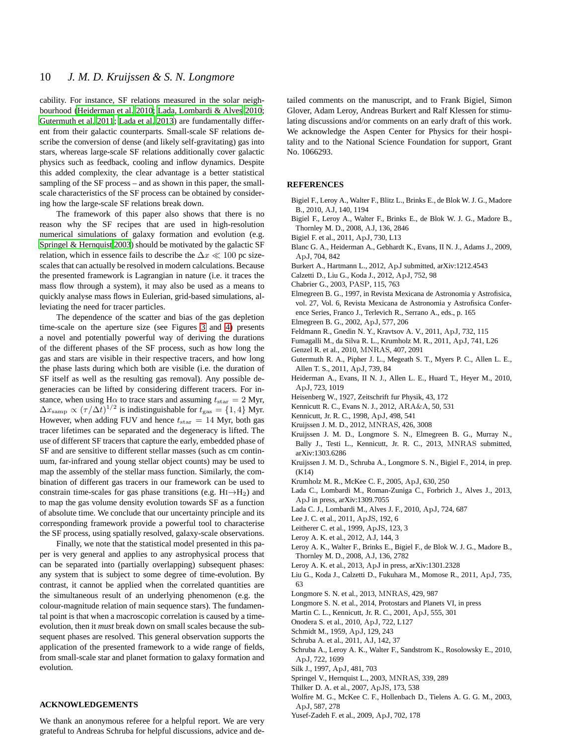cability. For instance, SF relations measured in the solar neighbourhood [\(Heiderman et al. 2010](#page-10-35); [Lada, Lombardi & Alves 2010;](#page-10-36) [Gutermuth et al. 2011](#page-10-37); [Lada et al. 2013\)](#page-10-38) are fundamentally different from their galactic counterparts. Small-scale SF relations describe the conversion of dense (and likely self-gravitating) gas into stars, whereas large-scale SF relations additionally cover galactic physics such as feedback, cooling and inflow dynamics. Despite this added complexity, the clear advantage is a better statistical sampling of the SF process – and as shown in this paper, the smallscale characteristics of the SF process can be obtained by considering how the large-scale SF relations break down.

The framework of this paper also shows that there is no reason why the SF recipes that are used in high-resolution numerical simulations of galaxy formation and evolution (e.g. [Springel & Hernquist 2003](#page-10-39)) should be motivated by the galactic SF relation, which in essence fails to describe the  $\Delta x \ll 100$  pc sizescales that can actually be resolved in modern calculations. Because the presented framework is Lagrangian in nature (i.e. it traces the mass flow through a system), it may also be used as a means to quickly analyse mass flows in Eulerian, grid-based simulations, alleviating the need for tracer particles.

The dependence of the scatter and bias of the gas depletion time-scale on the aperture size (see Figures [3](#page-6-1) and [4\)](#page-7-2) presents a novel and potentially powerful way of deriving the durations of the different phases of the SF process, such as how long the gas and stars are visible in their respective tracers, and how long the phase lasts during which both are visible (i.e. the duration of SF itself as well as the resulting gas removal). Any possible degeneracies can be lifted by considering different tracers. For instance, when using H $\alpha$  to trace stars and assuming  $t_{\text{star}} = 2$  Myr,  $\Delta x_{\text{ samp}} \propto (\tau/\Delta t)^{1/2}$  is indistinguishable for  $t_{\text{gas}} = \{1, 4\}$  Myr. However, when adding FUV and hence  $t_{\text{star}} = 14$  Myr, both gas tracer lifetimes can be separated and the degeneracy is lifted. The use of different SF tracers that capture the early, embedded phase of SF and are sensitive to different stellar masses (such as cm continuum, far-infrared and young stellar object counts) may be used to map the assembly of the stellar mass function. Similarly, the combination of different gas tracers in our framework can be used to constrain time-scales for gas phase transitions (e.g.  $HI \rightarrow H_2$ ) and to map the gas volume density evolution towards SF as a function of absolute time. We conclude that our uncertainty principle and its corresponding framework provide a powerful tool to characterise the SF process, using spatially resolved, galaxy-scale observations.

Finally, we note that the statistical model presented in this paper is very general and applies to any astrophysical process that can be separated into (partially overlapping) subsequent phases: any system that is subject to some degree of time-evolution. By contrast, it cannot be applied when the correlated quantities are the simultaneous result of an underlying phenomenon (e.g. the colour-magnitude relation of main sequence stars). The fundamental point is that when a macroscopic correlation is caused by a timeevolution, then it *must* break down on small scales because the subsequent phases are resolved. This general observation supports the application of the presented framework to a wide range of fields, from small-scale star and planet formation to galaxy formation and evolution.

#### **ACKNOWLEDGEMENTS**

We thank an anonymous referee for a helpful report. We are very grateful to Andreas Schruba for helpful discussions, advice and detailed comments on the manuscript, and to Frank Bigiel, Simon Glover, Adam Leroy, Andreas Burkert and Ralf Klessen for stimulating discussions and/or comments on an early draft of this work. We acknowledge the Aspen Center for Physics for their hospitality and to the National Science Foundation for support, Grant No. 1066293.

## **REFERENCES**

- <span id="page-10-31"></span>Bigiel F., Leroy A., Walter F., Blitz L., Brinks E., de Blok W. J. G., Madore B., 2010, AJ, 140, 1194
- <span id="page-10-32"></span>Bigiel F., Leroy A., Walter F., Brinks E., de Blok W. J. G., Madore B., Thornley M. D., 2008, AJ, 136, 2846
- <span id="page-10-3"></span>Bigiel F. et al., 2011, ApJ, 730, L13
- <span id="page-10-7"></span>Blanc G. A., Heiderman A., Gebhardt K., Evans, II N. J., Adams J., 2009, ApJ, 704, 842
- <span id="page-10-15"></span>Burkert A., Hartmann L., 2012, ApJ submitted, arXiv:1212.4543
- <span id="page-10-8"></span>Calzetti D., Liu G., Koda J., 2012, ApJ, 752, 98
- <span id="page-10-17"></span>Chabrier G., 2003, PASP, 115, 763
- <span id="page-10-26"></span>Elmegreen B. G., 1997, in Revista Mexicana de Astronomia y Astrofisica, vol. 27, Vol. 6, Revista Mexicana de Astronomia y Astrofisica Conference Series, Franco J., Terlevich R., Serrano A., eds., p. 165
- <span id="page-10-2"></span>Elmegreen B. G., 2002, ApJ, 577, 206
- <span id="page-10-34"></span>Feldmann R., Gnedin N. Y., Kravtsov A. V., 2011, ApJ, 732, 115
- <span id="page-10-14"></span>Fumagalli M., da Silva R. L., Krumholz M. R., 2011, ApJ, 741, L26
- <span id="page-10-22"></span>Genzel R. et al., 2010, MNRAS, 407, 2091
- <span id="page-10-37"></span>Gutermuth R. A., Pipher J. L., Megeath S. T., Myers P. C., Allen L. E., Allen T. S., 2011, ApJ, 739, 84
- <span id="page-10-35"></span>Heiderman A., Evans, II N. J., Allen L. E., Huard T., Heyer M., 2010, ApJ, 723, 1019
- <span id="page-10-11"></span>Heisenberg W., 1927, Zeitschrift fur Physik, 43, 172
- <span id="page-10-16"></span>Kennicutt R. C., Evans N. J., 2012, ARA&A, 50, 531
- <span id="page-10-1"></span>Kennicutt, Jr. R. C., 1998, ApJ, 498, 541
- <span id="page-10-24"></span>Kruijssen J. M. D., 2012, MNRAS, 426, 3008
- <span id="page-10-20"></span>Kruijssen J. M. D., Longmore S. N., Elmegreen B. G., Murray N., Bally J., Testi L., Kennicutt, Jr. R. C., 2013, MNRAS submitted, arXiv:1303.6286
- <span id="page-10-12"></span>Kruijssen J. M. D., Schruba A., Longmore S. N., Bigiel F., 2014, in prep. (K14)
- <span id="page-10-18"></span>Krumholz M. R., McKee C. F., 2005, ApJ, 630, 250
- <span id="page-10-38"></span>Lada C., Lombardi M., Roman-Zuniga C., Forbrich J., Alves J., 2013, ApJ in press, arXiv:1309.7055
- <span id="page-10-36"></span>Lada C. J., Lombardi M., Alves J. F., 2010, ApJ, 724, 687
- <span id="page-10-13"></span>Lee J. C. et al., 2011, ApJS, 192, 6
- <span id="page-10-40"></span>Leitherer C. et al., 1999, ApJS, 123, 3
- <span id="page-10-9"></span>Leroy A. K. et al., 2012, AJ, 144, 3
- <span id="page-10-21"></span>Leroy A. K., Walter F., Brinks E., Bigiel F., de Blok W. J. G., Madore B., Thornley M. D., 2008, AJ, 136, 2782
- <span id="page-10-10"></span>Leroy A. K. et al., 2013, ApJ in press, arXiv:1301.2328
- <span id="page-10-6"></span>Liu G., Koda J., Calzetti D., Fukuhara M., Momose R., 2011, ApJ, 735, 63
- <span id="page-10-23"></span>Longmore S. N. et al., 2013, MNRAS, 429, 987
- <span id="page-10-27"></span>Longmore S. N. et al., 2014, Protostars and Planets VI, in press
- <span id="page-10-30"></span>Martin C. L., Kennicutt, Jr. R. C., 2001, ApJ, 555, 301
- <span id="page-10-5"></span>Onodera S. et al., 2010, ApJ, 722, L127
- <span id="page-10-25"></span>Schmidt M., 1959, ApJ, 129, 243
- <span id="page-10-33"></span>Schruba A. et al., 2011, AJ, 142, 37
- <span id="page-10-4"></span>Schruba A., Leroy A. K., Walter F., Sandstrom K., Rosolowsky E., 2010, ApJ, 722, 1699
- <span id="page-10-0"></span>Silk J., 1997, ApJ, 481, 703
- <span id="page-10-39"></span>Springel V., Hernquist L., 2003, MNRAS, 339, 289
- <span id="page-10-29"></span>Thilker D. A. et al., 2007, ApJS, 173, 538
- <span id="page-10-19"></span>Wolfire M. G., McKee C. F., Hollenbach D., Tielens A. G. G. M., 2003, ApJ, 587, 278
- <span id="page-10-28"></span>Yusef-Zadeh F. et al., 2009, ApJ, 702, 178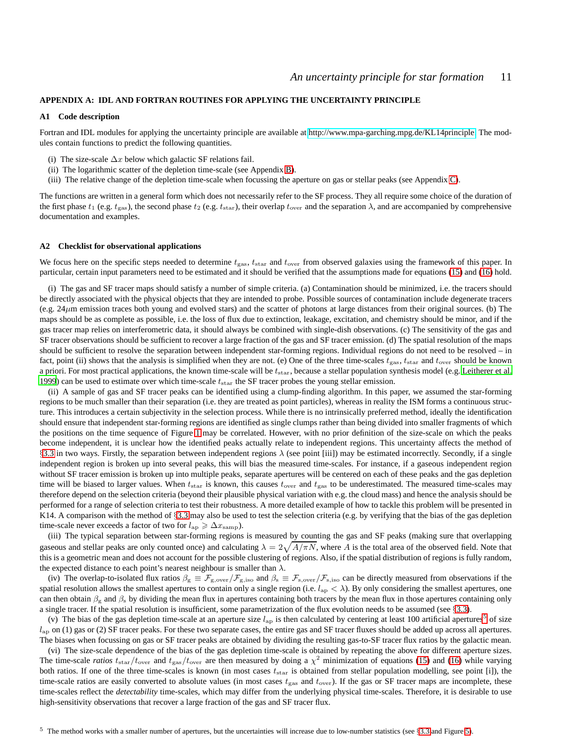## <span id="page-11-0"></span>**APPENDIX A: IDL AND FORTRAN ROUTINES FOR APPLYING THE UNCERTAINTY PRINCIPLE**

#### **A1 Code description**

Fortran and IDL modules for applying the uncertainty principle are available at [http://www.mpa-garching.mpg.de/KL14principle.](http://www.mpa-garching.mpg.de/KL14principle) The modules contain functions to predict the following quantities.

- (i) The size-scale  $\Delta x$  below which galactic SF relations fail.
- (ii) The logarithmic scatter of the depletion time-scale (see Appendix [B\)](#page-12-0).
- (iii) The relative change of the depletion time-scale when focussing the aperture on gas or stellar peaks (see Appendix [C\)](#page-13-0).

The functions are written in a general form which does not necessarily refer to the SF process. They all require some choice of the duration of the first phase  $t_1$  (e.g.  $t_{\text{gas}}$ ), the second phase  $t_2$  (e.g.  $t_{\text{star}}$ ), their overlap  $t_{\text{over}}$  and the separation  $\lambda$ , and are accompanied by comprehensive documentation and examples.

#### <span id="page-11-1"></span>**A2 Checklist for observational applications**

We focus here on the specific steps needed to determine  $t_{\text{gas}}$ ,  $t_{\text{star}}$  and  $t_{\text{over}}$  from observed galaxies using the framework of this paper. In particular, certain input parameters need to be estimated and it should be verified that the assumptions made for equations [\(15\)](#page-7-0) and [\(16\)](#page-7-1) hold.

(i) The gas and SF tracer maps should satisfy a number of simple criteria. (a) Contamination should be minimized, i.e. the tracers should be directly associated with the physical objects that they are intended to probe. Possible sources of contamination include degenerate tracers (e.g. 24µm emission traces both young and evolved stars) and the scatter of photons at large distances from their original sources. (b) The maps should be as complete as possible, i.e. the loss of flux due to extinction, leakage, excitation, and chemistry should be minor, and if the gas tracer map relies on interferometric data, it should always be combined with single-dish observations. (c) The sensitivity of the gas and SF tracer observations should be sufficient to recover a large fraction of the gas and SF tracer emission. (d) The spatial resolution of the maps should be sufficient to resolve the separation between independent star-forming regions. Individual regions do not need to be resolved – in fact, point (ii) shows that the analysis is simplified when they are not. (e) One of the three time-scales  $t_{\rm gas}$ ,  $t_{\rm star}$  and  $t_{\rm over}$  should be known a priori. For most practical applications, the known time-scale will be  $t_{\text{star}}$ , because a stellar population synthesis model (e.g. [Leitherer et al.](#page-10-40) [1999\)](#page-10-40) can be used to estimate over which time-scale  $t_{\text{star}}$  the SF tracer probes the young stellar emission.

(ii) A sample of gas and SF tracer peaks can be identified using a clump-finding algorithm. In this paper, we assumed the star-forming regions to be much smaller than their separation (i.e. they are treated as point particles), whereas in reality the ISM forms a continuous structure. This introduces a certain subjectivity in the selection process. While there is no intrinsically preferred method, ideally the identification should ensure that independent star-forming regions are identified as single clumps rather than being divided into smaller fragments of which the positions on the time sequence of Figure [1](#page-3-1) may be correlated. However, with no prior definition of the size-scale on which the peaks become independent, it is unclear how the identified peaks actually relate to independent regions. This uncertainty affects the method of §[3.3](#page-6-0) in two ways. Firstly, the separation between independent regions  $\lambda$  (see point [iii]) may be estimated incorrectly. Secondly, if a single independent region is broken up into several peaks, this will bias the measured time-scales. For instance, if a gaseous independent region without SF tracer emission is broken up into multiple peaks, separate apertures will be centered on each of these peaks and the gas depletion time will be biased to larger values. When  $t_{\text{star}}$  is known, this causes  $t_{\text{over}}$  and  $t_{\text{gas}}$  to be underestimated. The measured time-scales may therefore depend on the selection criteria (beyond their plausible physical variation with e.g. the cloud mass) and hence the analysis should be performed for a range of selection criteria to test their robustness. A more detailed example of how to tackle this problem will be presented in K14. A comparison with the method of §[3.3](#page-6-0) may also be used to test the selection criteria (e.g. by verifying that the bias of the gas depletion time-scale never exceeds a factor of two for  $l_{ap} \geq \Delta x_{\text{samp}}$ .

(iii) The typical separation between star-forming regions is measured by counting the gas and SF peaks (making sure that overlapping gaseous and stellar peaks are only counted once) and calculating  $\lambda = 2\sqrt{A/\pi N}$ , where A is the total area of the observed field. Note that this is a geometric mean and does not account for the possible clustering of regions. Also, if the spatial distribution of regions is fully random, the expected distance to each point's nearest neighbour is smaller than  $\lambda$ .

(iv) The overlap-to-isolated flux ratios  $\beta_{\rm g} \equiv \mathcal{F}_{\rm g,over}/\mathcal{F}_{\rm g,iso}$  and  $\beta_{\rm s} \equiv \mathcal{F}_{\rm s,over}/\mathcal{F}_{\rm s,iso}$  can be directly measured from observations if the spatial resolution allows the smallest apertures to contain only a single region (i.e.  $l_{\rm ap} < \lambda$ ). By only considering the smallest apertures, one can then obtain  $\beta_{g}$  and  $\beta_{s}$  by dividing the mean flux in apertures containing both tracers by the mean flux in those apertures containing only a single tracer. If the spatial resolution is insufficient, some parametrization of the flux evolution needs to be assumed (see §[3.3\)](#page-6-0).

(v) The bias of the gas depletion time-scale at an aperture size  $l_{ap}$  is then calculated by centering at least 100 artificial apertures<sup>[5](#page-11-2)</sup> of size  $l_{ap}$  on (1) gas or (2) SF tracer peaks. For these two separate cases, the entire gas and SF tracer fluxes should be added up across all apertures. The biases when focussing on gas or SF tracer peaks are obtained by dividing the resulting gas-to-SF tracer flux ratios by the galactic mean.

<span id="page-11-2"></span>(vi) The size-scale dependence of the bias of the gas depletion time-scale is obtained by repeating the above for different aperture sizes. The time-scale *ratios*  $t_{\text{star}}/t_{\text{over}}$  and  $t_{\text{gas}}/t_{\text{over}}$  are then measured by doing a  $\chi^2$  minimization of equations [\(15\)](#page-7-0) and [\(16\)](#page-7-1) while varying both ratios. If one of the three time-scales is known (in most cases  $t_{\text{star}}$  is obtained from stellar population modelling, see point [i]), the time-scale ratios are easily converted to absolute values (in most cases  $t_{\text{gas}}$  and  $t_{\text{over}}$ ). If the gas or SF tracer maps are incomplete, these time-scales reflect the *detectability* time-scales, which may differ from the underlying physical time-scales. Therefore, it is desirable to use high-sensitivity observations that recover a large fraction of the gas and SF tracer flux.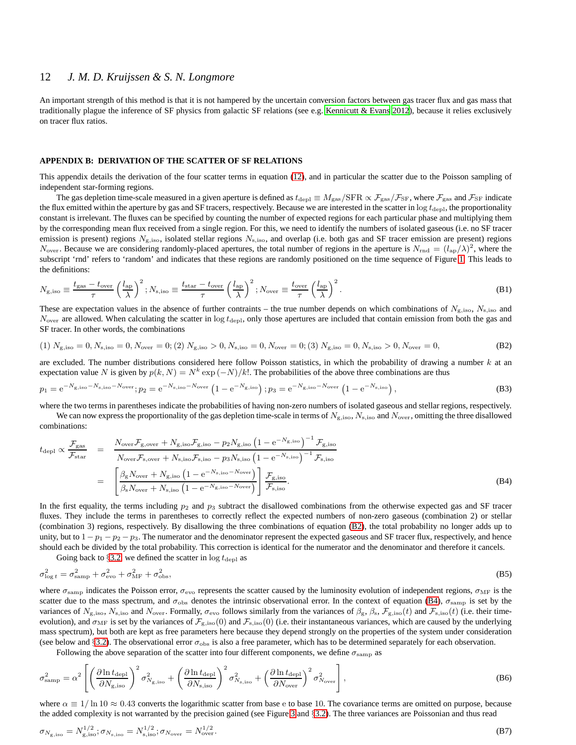## 12 *J. M. D. Kruijssen & S. N. Longmore*

An important strength of this method is that it is not hampered by the uncertain conversion factors between gas tracer flux and gas mass that traditionally plague the inference of SF physics from galactic SF relations (see e.g. [Kennicutt & Evans 2012](#page-10-16)), because it relies exclusively on tracer flux ratios.

#### <span id="page-12-0"></span>**APPENDIX B: DERIVATION OF THE SCATTER OF SF RELATIONS**

This appendix details the derivation of the four scatter terms in equation [\(12\)](#page-5-2), and in particular the scatter due to the Poisson sampling of independent star-forming regions.

The gas depletion time-scale measured in a given aperture is defined as  $t_{\text{depl}} \equiv M_{\text{gas}}/\text{SFR} \propto \mathcal{F}_{\text{gas}}/\mathcal{F}_{\text{SF}}$ , where  $\mathcal{F}_{\text{gas}}$  and  $\mathcal{F}_{\text{SF}}$  indicate the flux emitted within the aperture by gas and SF tracers, respectively. Because we are interested in the scatter in  $\log t_{\rm depl}$ , the proportionality constant is irrelevant. The fluxes can be specified by counting the number of expected regions for each particular phase and multiplying them by the corresponding mean flux received from a single region. For this, we need to identify the numbers of isolated gaseous (i.e. no SF tracer emission is present) regions  $N_{\rm g, iso}$ , isolated stellar regions  $N_{\rm s, iso}$ , and overlap (i.e. both gas and SF tracer emission are present) regions  $N_{\text{over}}$ . Because we are considering randomly-placed apertures, the total number of regions in the aperture is  $N_{\text{rnd}} = (l_{\text{ap}}/\lambda)^2$ , where the subscript 'rnd' refers to 'random' and indicates that these regions are randomly positioned on the time sequence of Figure [1.](#page-3-1) This leads to the definitions:

<span id="page-12-3"></span>
$$
N_{\rm g,iso} \equiv \frac{t_{\rm gas} - t_{\rm over}}{\tau} \left(\frac{l_{\rm ap}}{\lambda}\right)^2; N_{\rm s,iso} \equiv \frac{t_{\rm star} - t_{\rm over}}{\tau} \left(\frac{l_{\rm ap}}{\lambda}\right)^2; N_{\rm over} \equiv \frac{t_{\rm over}}{\tau} \left(\frac{l_{\rm ap}}{\lambda}\right)^2.
$$
 (B1)

These are expectation values in the absence of further contraints – the true number depends on which combinations of  $N_{\rm g,iso}$ ,  $N_{\rm s,iso}$  and  $N_{\text{over}}$  are allowed. When calculating the scatter in  $\log t_{\text{depl}}$ , only those apertures are included that contain emission from both the gas and SF tracer. In other words, the combinations

<span id="page-12-1"></span>
$$
(1) N_{g,\text{iso}} = 0, N_{s,\text{iso}} = 0, N_{\text{over}} = 0; (2) N_{g,\text{iso}} > 0, N_{s,\text{iso}} = 0, N_{\text{over}} = 0; (3) N_{g,\text{iso}} = 0, N_{s,\text{iso}} > 0, N_{\text{over}} = 0,
$$
\n(B2)

are excluded. The number distributions considered here follow Poisson statistics, in which the probability of drawing a number  $k$  at an expectation value N is given by  $p(k, N) = N^k \exp(-N)/k!$ . The probabilities of the above three combinations are thus

$$
p_1 = e^{-N_{\rm g,iso} - N_{\rm s,iso} - N_{\rm over}}; p_2 = e^{-N_{\rm s,iso} - N_{\rm over}} \left(1 - e^{-N_{\rm g,iso}}\right); p_3 = e^{-N_{\rm g,iso} - N_{\rm over}} \left(1 - e^{-N_{\rm s,iso}}\right),
$$
(B3)

where the two terms in parentheses indicate the probabilities of having non-zero numbers of isolated gaseous and stellar regions, respectively. We can now express the proportionality of the gas depletion time-scale in terms of  $N_{\rm g, iso}$ ,  $N_{\rm s, iso}$  and  $N_{\rm over}$ , omitting the three disallowed combinations:

<span id="page-12-2"></span>
$$
t_{\text{depl}} \propto \frac{\mathcal{F}_{\text{gas}}}{\mathcal{F}_{\text{star}}} = \frac{N_{\text{over}} \mathcal{F}_{\text{g,over}} + N_{\text{g,iso}} \mathcal{F}_{\text{g,iso}} - p_2 N_{\text{g,iso}} \left(1 - e^{-N_{\text{g,iso}}}\right)^{-1} \mathcal{F}_{\text{g,iso}}}{N_{\text{over}} \mathcal{F}_{\text{s,over}} + N_{\text{s,iso}} \mathcal{F}_{\text{s,iso}} - p_3 N_{\text{s,iso}} \left(1 - e^{-N_{\text{s,iso}}}\right)^{-1} \mathcal{F}_{\text{s,iso}}}
$$
  
= 
$$
\left[\frac{\beta_{\text{g}} N_{\text{over}} + N_{\text{g,iso}} \left(1 - e^{-N_{\text{s,iso}} - N_{\text{over}}}\right)}{\beta_{\text{s}} N_{\text{over}} + N_{\text{s,iso}} \left(1 - e^{-N_{\text{g,iso}} - N_{\text{over}}}\right)}\right] \frac{\mathcal{F}_{\text{g,iso}}}{\mathcal{F}_{\text{s,iso}}}. \tag{B4}
$$

In the first equality, the terms including  $p_2$  and  $p_3$  subtract the disallowed combinations from the otherwise expected gas and SF tracer fluxes. They include the terms in parentheses to correctly reflect the expected numbers of non-zero gaseous (combination 2) or stellar (combination 3) regions, respectively. By disallowing the three combinations of equation [\(B2\)](#page-12-1), the total probability no longer adds up to unity, but to  $1-p_1-p_2-p_3$ . The numerator and the denominator represent the expected gaseous and SF tracer flux, respectively, and hence should each be divided by the total probability. This correction is identical for the numerator and the denominator and therefore it cancels.

Going back to §[3.2,](#page-5-4) we defined the scatter in  $\log t_{\text{depl}}$  as

<span id="page-12-6"></span>
$$
\sigma_{\log t}^2 = \sigma_{\text{samp}}^2 + \sigma_{\text{evo}}^2 + \sigma_{\text{MF}}^2 + \sigma_{\text{obs}}^2,\tag{B5}
$$

where  $\sigma_{\text{sample}}$  indicates the Poisson error,  $\sigma_{\text{evo}}$  represents the scatter caused by the luminosity evolution of independent regions,  $\sigma_{\text{MF}}$  is the scatter due to the mass spectrum, and  $\sigma_{\rm obs}$  denotes the intrinsic observational error. In the context of equation [\(B4\)](#page-12-2),  $\sigma_{\rm samp}$  is set by the variances of  $N_{\rm g,iso}$ ,  $N_{\rm s,iso}$  and  $N_{\rm over}$ . Formally,  $\sigma_{\rm evo}$  follows similarly from the variances of  $\beta_{\rm g}$ ,  $\beta_{\rm s}$ ,  $\mathcal{F}_{\rm g,iso}(t)$  and  $\mathcal{F}_{\rm s,iso}(t)$  (i.e. their timeevolution), and  $\sigma_{MF}$  is set by the variances of  $\mathcal{F}_{g,iso}(0)$  and  $\mathcal{F}_{s,iso}(0)$  (i.e. their instantaneous variances, which are caused by the underlying mass spectrum), but both are kept as free parameters here because they depend strongly on the properties of the system under consideration (see below and §[3.2\)](#page-5-4). The observational error  $\sigma_{\rm obs}$  is also a free parameter, which has to be determined separately for each observation.

Following the above separation of the scatter into four different components, we define  $\sigma_{\text{samp}}$  as

<span id="page-12-4"></span>
$$
\sigma_{\text{samp}}^2 = \alpha^2 \left[ \left( \frac{\partial \ln t_{\text{depl}}}{\partial N_{\text{g,iso}}} \right)^2 \sigma_{N_{\text{g,iso}}}^2 + \left( \frac{\partial \ln t_{\text{depl}}}{\partial N_{\text{s,iso}}} \right)^2 \sigma_{N_{\text{s,iso}}}^2 + \left( \frac{\partial \ln t_{\text{depl}}}{\partial N_{\text{over}}} \right)^2 \sigma_{N_{\text{over}}}^2 \right],
$$
(B6)

where  $\alpha \equiv 1/\ln 10 \approx 0.43$  converts the logarithmic scatter from base e to base 10. The covariance terms are omitted on purpose, because the added complexity is not warranted by the precision gained (see Figure [3](#page-6-1) and §[3.2\)](#page-5-4). The three variances are Poissonian and thus read

<span id="page-12-5"></span>
$$
\sigma_{N_{\rm g,iso}} = N_{\rm g,iso}^{1/2}; \sigma_{N_{\rm s,iso}} = N_{\rm s,iso}^{1/2}; \sigma_{N_{\rm over}} = N_{\rm over}^{1/2}.
$$
\n(B7)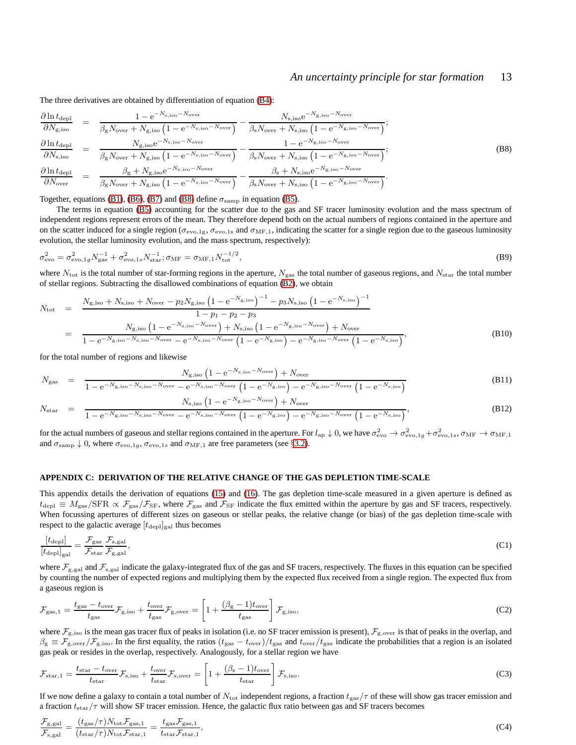## *An uncertainty principle for star formation* 13

The three derivatives are obtained by differentiation of equation [\(B4\)](#page-12-2):

<span id="page-13-1"></span>
$$
\frac{\partial \ln t_{\text{depl}}}{\partial N_{\text{g,iso}}} = \frac{1 - e^{-N_{\text{s,iso}} - N_{\text{over}}}}{\beta_{\text{g}} N_{\text{over}} + N_{\text{g,iso}} \left(1 - e^{-N_{\text{s,iso}} - N_{\text{over}}}\right)} - \frac{N_{\text{s,iso}} - N_{\text{over}}}{\beta_{\text{s}} N_{\text{over}} + N_{\text{s,iso}} \left(1 - e^{-N_{\text{g,iso}} - N_{\text{over}}}\right)};
$$
\n
$$
\frac{\partial \ln t_{\text{depl}}}{\partial N_{\text{s,iso}}} = \frac{N_{\text{g,iso}} - N_{\text{s,iso}} - N_{\text{over}}}{\beta_{\text{g}} N_{\text{over}} + N_{\text{g,iso}} \left(1 - e^{-N_{\text{s,iso}} - N_{\text{over}}}\right)} - \frac{1 - e^{-N_{\text{g,iso}} - N_{\text{over}}}}{\beta_{\text{s}} N_{\text{over}} + N_{\text{s,iso}} \left(1 - e^{-N_{\text{g,iso}} - N_{\text{over}}}\right)};
$$
\n
$$
\frac{\partial \ln t_{\text{depl}}}{\partial N_{\text{over}}} = \frac{\beta_{\text{g}} + N_{\text{g,iso}} - N_{\text{s,iso}} - N_{\text{over}}}{\beta_{\text{g}} N_{\text{over}} + N_{\text{g,iso}} \left(1 - e^{-N_{\text{g,iso}} - N_{\text{over}}}\right)} - \frac{\beta_{\text{s}} + N_{\text{s,iso}} - N_{\text{over}}}{\beta_{\text{s}} N_{\text{over}} + N_{\text{s,iso}} \left(1 - e^{-N_{\text{g,iso}} - N_{\text{over}}}\right)}.
$$
\n(B8)

Together, equations [\(B1\)](#page-12-3), [\(B6\)](#page-12-4), [\(B7\)](#page-12-5) and [\(B8\)](#page-13-1) define  $\sigma_{\rm samp}$  in equation [\(B5\)](#page-12-6).

The terms in equation [\(B5\)](#page-12-6) accounting for the scatter due to the gas and SF tracer luminosity evolution and the mass spectrum of independent regions represent errors of the mean. They therefore depend both on the actual numbers of regions contained in the aperture and on the scatter induced for a single region ( $\sigma_{\text{evo,1g}}$ ,  $\sigma_{\text{evo,1s}}$  and  $\sigma_{\text{MF,1}}$ , indicating the scatter for a single region due to the gaseous luminosity evolution, the stellar luminosity evolution, and the mass spectrum, respectively):

$$
\sigma_{\rm evo}^2 = \sigma_{\rm evo,1g}^2 N_{\rm gas}^{-1} + \sigma_{\rm evo,1s}^2 N_{\rm star}^{-1}; \sigma_{\rm MF} = \sigma_{\rm MF,1} N_{\rm tot}^{-1/2},\tag{B9}
$$

where  $N_{\text{tot}}$  is the total number of star-forming regions in the aperture,  $N_{\text{gas}}$  the total number of gaseous regions, and  $N_{\text{star}}$  the total number of stellar regions. Subtracting the disallowed combinations of equation [\(B2\)](#page-12-1), we obtain

$$
N_{\text{tot}} = \frac{N_{\text{g,iso}} + N_{\text{s,iso}} + N_{\text{over}} - p_2 N_{\text{g,iso}} \left(1 - e^{-N_{\text{g,iso}}}\right)^{-1} - p_3 N_{\text{s,iso}} \left(1 - e^{-N_{\text{s,iso}}}\right)^{-1}}{1 - p_1 - p_2 - p_3}
$$
  
= 
$$
\frac{N_{\text{g,iso}} \left(1 - e^{-N_{\text{s,iso}} - N_{\text{over}}}\right) + N_{\text{s,iso}} \left(1 - e^{-N_{\text{g,iso}} - N_{\text{over}}}\right) + N_{\text{over}}}{1 - e^{-N_{\text{g,iso}} - N_{\text{over}}} - e^{-N_{\text{s,iso}} - N_{\text{over}}} \left(1 - e^{-N_{\text{g,iso}}}\right) - e^{-N_{\text{g,iso}} - N_{\text{over}}} \left(1 - e^{-N_{\text{s,iso}}}\right)},
$$
(B10)

for the total number of regions and likewise

$$
N_{\rm gas} = \frac{N_{\rm g,iso} \left(1 - e^{-N_{\rm g,iso} - N_{\rm over}}\right) + N_{\rm over}}{1 - e^{-N_{\rm g,iso} - N_{\rm over}} - e^{-N_{\rm s,iso} - N_{\rm over}} \left(1 - e^{-N_{\rm g,iso}}\right) - e^{-N_{\rm g,iso} - N_{\rm over}} \left(1 - e^{-N_{\rm s,iso}}\right)}
$$
(B11)

$$
N_{\text{star}} = \frac{N_{\text{s,iso}} \left(1 - e^{-N_{\text{g,iso}} - N_{\text{over}}}\right) + N_{\text{over}}}{1 - e^{-N_{\text{g,iso}} - N_{\text{over}}} - e^{-N_{\text{s,iso}} - N_{\text{over}}}\left(1 - e^{-N_{\text{g,iso}}}\right) - e^{-N_{\text{g,iso}} - N_{\text{over}}}\left(1 - e^{-N_{\text{s,iso}}}\right)},
$$
\n(B12)

for the actual numbers of gaseous and stellar regions contained in the aperture. For  $l_{\rm ap}\downarrow 0$ , we have  $\sigma_{\rm evo}^2\to\sigma_{\rm evo,1g}^2+\sigma_{\rm evo,1s}^2$ ,  $\sigma_{\rm MF}\to\sigma_{\rm MF,1}$ and  $\sigma_{\text{ samp}} \downarrow 0$ , where  $\sigma_{\text{evo,1g}}$ ,  $\sigma_{\text{evo,1s}}$  and  $\sigma_{\text{MF,1}}$  are free parameters (see §[3.2\)](#page-5-4).

## <span id="page-13-0"></span>**APPENDIX C: DERIVATION OF THE RELATIVE CHANGE OF THE GAS DEPLETION TIME-SCALE**

This appendix details the derivation of equations [\(15\)](#page-7-0) and [\(16\)](#page-7-1). The gas depletion time-scale measured in a given aperture is defined as  $t_{\text{depl}} \equiv M_{\text{gas}}/\text{SFR} \propto \mathcal{F}_{\text{gas}}/\mathcal{F}_{\text{SF}}$ , where  $\mathcal{F}_{\text{gas}}$  and  $\mathcal{F}_{\text{SF}}$  indicate the flux emitted within the aperture by gas and SF tracers, respectively. When focussing apertures of different sizes on gaseous or stellar peaks, the relative change (or bias) of the gas depletion time-scale with respect to the galactic average  $[t_{\text{depl}}]_{\text{gal}}$  thus becomes

<span id="page-13-3"></span>
$$
\frac{\left[t_{\text{depl}}\right]}{\left[t_{\text{depl}}\right]} = \frac{\mathcal{F}_{\text{gas}}}{\mathcal{F}_{\text{star}}}\frac{\mathcal{F}_{\text{s,gal}}}{\mathcal{F}_{\text{g,gal}}},\tag{C1}
$$

where  $\mathcal{F}_{g,gal}$  and  $\mathcal{F}_{s,gal}$  indicate the galaxy-integrated flux of the gas and SF tracers, respectively. The fluxes in this equation can be specified by counting the number of expected regions and multiplying them by the expected flux received from a single region. The expected flux from a gaseous region is

$$
\mathcal{F}_{\rm gas,1} = \frac{t_{\rm gas} - t_{\rm over}}{t_{\rm gas}} \mathcal{F}_{\rm g,iso} + \frac{t_{\rm over}}{t_{\rm gas}} \mathcal{F}_{\rm g,over} = \left[1 + \frac{(\beta_{\rm g} - 1)t_{\rm over}}{t_{\rm gas}}\right] \mathcal{F}_{\rm g,iso},\tag{C2}
$$

where  $\mathcal{F}_{g,\mathrm{iso}}$  is the mean gas tracer flux of peaks in isolation (i.e. no SF tracer emission is present),  $\mathcal{F}_{g,\mathrm{over}}$  is that of peaks in the overlap, and  $\beta_{\rm g} \equiv \mathcal{F}_{\rm g,over}/\mathcal{F}_{\rm g,iso}$ . In the first equality, the ratios  $(t_{\rm gas} - t_{\rm over})/t_{\rm gas}$  and  $t_{\rm over}/t_{\rm gas}$  indicate the probabilities that a region is an isolated gas peak or resides in the overlap, respectively. Analogously, for a stellar region we have

$$
\mathcal{F}_{\text{star},1} = \frac{t_{\text{star}} - t_{\text{over}}}{t_{\text{star}}} \mathcal{F}_{\text{s},\text{iso}} + \frac{t_{\text{over}}}{t_{\text{star}}} \mathcal{F}_{\text{s},\text{over}} = \left[1 + \frac{(\beta_{\text{s}} - 1)t_{\text{over}}}{t_{\text{star}}}\right] \mathcal{F}_{\text{s},\text{iso}}.
$$
(C3)

If we now define a galaxy to contain a total number of  $N_{\text{tot}}$  independent regions, a fraction  $t_{\text{gas}}/\tau$  of these will show gas tracer emission and a fraction  $t_{\text{star}}/\tau$  will show SF tracer emission. Hence, the galactic flux ratio between gas and SF tracers becomes

<span id="page-13-2"></span>
$$
\frac{\mathcal{F}_{g,gal}}{\mathcal{F}_{s,gal}} = \frac{(t_{gas}/\tau)N_{\text{tot}}\mathcal{F}_{gas,1}}{(t_{star}/\tau)N_{\text{tot}}\mathcal{F}_{star,1}} = \frac{t_{gas}\mathcal{F}_{gas,1}}{t_{star}\mathcal{F}_{star,1}},
$$
(C4)